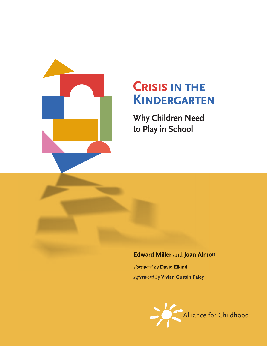

# **Crisis in the Kindergarten**

**Why Children Need to Play in School**

## **Edward Miller** and **Joan Almon**

*Foreword by* **David Elkind** *Afterword by* **Vivian Gussin Paley**

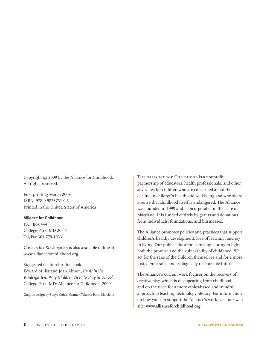Copyright © 2009 by the Alliance for Childhood. All rights reserved.

First printing March 2009 ISBN: 978-0-9823751-0-5 Printed in the United States of America

#### **Alliance for Childhood**

P.O. Box 444 College Park, MD 20741 Tel/Fax 301-779-1033

*Crisis in the Kindergarten* is also available online at www.allianceforchildhood.org.

Suggested citation for this book: Edward Miller and Joan Almon, *Crisis in the Kindergarten: Why Children Need to Play in School*, College Park, MD: Alliance for Childhood, 2009.

Graphic design by Sonya Cohen Cramer, Takoma Park, Maryland

*The Alliance for Childhood* is a nonprofit partnership of educators, health professionals, and other advocates for children who are concerned about the decline in children's health and well-being and who share a sense that childhood itself is endangered. The Alliance was founded in 1999 and is incorporated in the state of Maryland. It is funded entirely by grants and donations from individuals, foundations, and businesses.

The Alliance promotes policies and practices that support children's healthy development, love of learning, and joy in living. Our public education campaigns bring to light both the promise and the vulnerability of childhood. We act for the sake of the children themselves and for a more just, democratic, and ecologically responsible future.

The Alliance's current work focuses on the recovery of creative play, which is disappearing from childhood, and on the need for a more ethics-based and mindful approach to teaching technology literacy. For information on how you can support the Alliance's work, visit our web site: **www.allianceforchildhood.org**.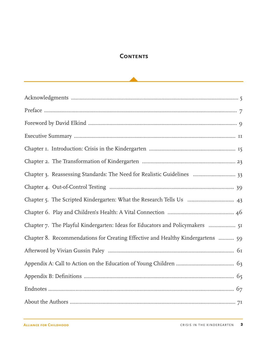### **Contents**

| Chapter 3. Reassessing Standards: The Need for Realistic Guidelines  33         |
|---------------------------------------------------------------------------------|
|                                                                                 |
|                                                                                 |
|                                                                                 |
| Chapter 7. The Playful Kindergarten: Ideas for Educators and Policymakers  51   |
| Chapter 8. Recommendations for Creating Effective and Healthy Kindergartens  59 |
|                                                                                 |
|                                                                                 |
|                                                                                 |
|                                                                                 |
|                                                                                 |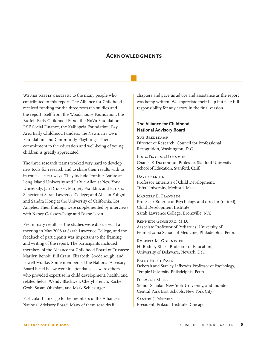### **Acknowledgments**

*We are deeply grateful* to the many people who contributed to this report. The Alliance for Childhood received funding for the three research studies and the report itself from the Woodshouse Foundation, the Buffett Early Childhood Fund, the NoVo Foundation, RSF Social Finance, the Kalliopeia Foundation, Bay Area Early Childhood Funders, the Newman's Own Foundation, and Community Playthings. Their commitment to the education and well-being of young children is greatly appreciated.

The three research teams worked very hard to develop new tools for research and to share their results with us in concise, clear ways. They include Jennifer Astuto at Long Island University and LaRue Allen at New York University; Jan Drucker, Margery Franklin, and Barbara Schecter at Sarah Lawrence College; and Allison Fuligni and Sandra Hong at the University of California, Los Angeles. Their findings were supplemented by interviews with Nancy Carlsson-Paige and Diane Levin.

Preliminary results of the studies were discussed at a meeting in May 2008 at Sarah Lawrence College, and the feedback of participants was important to the framing and writing of the report. The participants included members of the Alliance for Childhood Board of Trustees: Marilyn Benoit, Bill Crain, Elizabeth Goodenough, and Lowell Monke. Some members of the National Advisory Board listed below were in attendance as were others who provided expertise in child development, health, and related fields: Wendy Blackwell, Cheryl French, Rachel Grob, Susan Ohanian, and Mark Schlesinger.

Particular thanks go to the members of the Alliance's National Advisory Board. Many of them read draft

chapters and gave us advice and assistance as the report was being written. We appreciate their help but take full responsibility for any errors in the final version.

### **The Alliance for Childhood National Advisory Board**

*Sue Bredekamp* Director of Research, Council for Professional Recognition, Washington, D.C.

*Linda Darling-Hammond* Charles E. Ducommun Professor, Stanford University School of Education, Stanford, Calif.

*David Elkind* Professor Emeritus of Child Development, Tufts University, Medford, Mass.

*Margery B. Franklin* Professor Emerita of Psychology and director (retired), Child Development Institute, Sarah Lawrence College, Bronxville, N.Y.

*Kenneth Ginsburg, M.D.* Associate Professor of Pediatrics, University of Pennsylvania School of Medicine, Philadelphia, Penn.

*Roberta M. Golinkoff* H. Rodney Sharp Professor of Education, University of Delaware, Newark, Del.

*Kathy Hirsh-Pasek* Deborah and Stanley Lefkowitz Professor of Psychology, Temple University, Philadelphia, Penn.

*Deborah Meier* Senior Scholar, New York University, and founder, Central Park East Schools, New York City

*Samuel J. Meisels* President, Erikson Institute, Chicago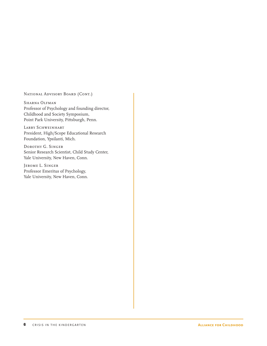*National Advisory Board (Cont.)*

*Sharna Olfman* Professor of Psychology and founding director, Childhood and Society Symposium, Point Park University, Pittsburgh, Penn.

*Larry Schweinhart* President, High/Scope Educational Research Foundation, Ypsilanti, Mich.

*Dorothy G. Singer* Senior Research Scientist, Child Study Center, Yale University, New Haven, Conn.

*Jerome L. Singer* Professor Emeritus of Psychology, Yale University, New Haven, Conn.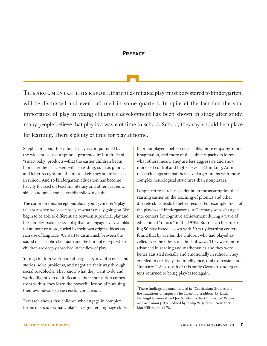### **Preface**

*The argument of this report*, that child-initiated play must be restored to kindergarten, will be dismissed and even ridiculed in some quarters. In spite of the fact that the vital importance of play in young children's development has been shown in study after study, many people believe that play is a waste of time in school. School, they say, should be a place for learning. There's plenty of time for play at home.

Skepticism about the value of play is compounded by the widespread assumption—promoted by hundreds of "smart baby" products—that the earlier children begin to master the basic elements of reading, such as phonics and letter recognition, the more likely they are to succeed in school. And so kindergarten education has become heavily focused on teaching literacy and other academic skills, and preschool is rapidly following suit.

The common misconceptions about young children's play fall apart when we look closely at what is really going on. We begin to be able to differentiate between superficial play and the complex make-believe play that can engage five-year-olds for an hour or more, fueled by their own original ideas and rich use of language. We start to distinguish between the sound of a chaotic classroom and the hum of energy when children are deeply absorbed in the flow of play.

Young children work hard at play. They invent scenes and stories, solve problems, and negotiate their way through social roadblocks. They know what they want to do and work diligently to do it. Because their motivation comes from within, they learn the powerful lesson of pursuing their own ideas to a successful conclusion.

Research shows that children who engage in complex forms of socio-dramatic play have greater language skills

than nonplayers, better social skills, more empathy, more imagination, and more of the subtle capacity to know what others mean. They are less aggressive and show more self-control and higher levels of thinking. Animal research suggests that they have larger brains with more complex neurological structures than nonplayers.

Long-term research casts doubt on the assumption that starting earlier on the teaching of phonics and other discrete skills leads to better results. For example, most of the play-based kindergartens in Germany were changed into centers for cognitive achievement during a wave of educational "reform" in the 1970s. But research comparing 50 play-based classes with 50 early-learning centers found that by age ten the children who had played excelled over the others in a host of ways. They were more advanced in reading and mathematics and they were better adjusted socially and emotionally in school. They excelled in creativity and intelligence, oral expression, and "industry."\* As a result of this study German kindergartens returned to being play-based again.

<sup>\*</sup> These findings are summarized in "Curriculum Studies and the Traditions of Inquiry: The Scientific Tradition" by Linda Darling-Hammond and Jon Snyder, in the *Handbook of Research on Curriculum* (1992), edited by Philip W. Jackson; New York: MacMillan, pp. 41-78.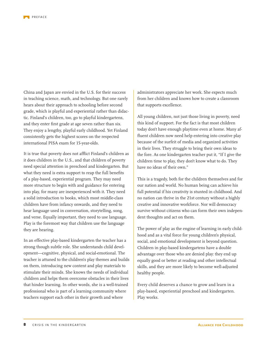China and Japan are envied in the U.S. for their success in teaching science, math, and technology. But one rarely hears about their approach to schooling before second grade, which is playful and experiential rather than didactic. Finland's children, too, go to playful kindergartens, and they enter first grade at age seven rather than six. They enjoy a lengthy, playful early childhood. Yet Finland consistently gets the highest scores on the respected international PISA exam for 15-year-olds.

It is true that poverty does not afflict Finland's children as it does children in the U.S., and that children of poverty need special attention in preschool and kindergarten. But what they need is extra support to reap the full benefits of a play-based, experiential program. They may need more structure to begin with and guidance for entering into play, for many are inexperienced with it. They need a solid introduction to books, which most middle-class children have from infancy onwards, and they need to hear language used in conversation, storytelling, song, and verse. Equally important, they need to use language. Play is the foremost way that children use the language they are hearing.

In an effective play-based kindergarten the teacher has a strong though subtle role. She understands child development—cognitive, physical, and social-emotional. The teacher is attuned to the children's play themes and builds on them, introducing new content and play materials to stimulate their minds. She knows the needs of individual children and helps them overcome obstacles in their lives that hinder learning. In other words, she is a well-trained professional who is part of a learning community where teachers support each other in their growth and where

administrators appreciate her work. She expects much from her children and knows how to create a classroom that supports excellence.

All young children, not just those living in poverty, need this kind of support. For the fact is that most children today don't have enough playtime even at home. Many affluent children now need help entering into creative play because of the surfeit of media and organized activities in their lives. They struggle to bring their own ideas to the fore. As one kindergarten teacher put it, "If I give the children time to play, they don't know what to do. They have no ideas of their own."

This is a tragedy, both for the children themselves and for our nation and world. No human being can achieve his full potential if his creativity is stunted in childhood. And no nation can thrive in the 21st century without a highly creative and innovative workforce. Nor will democracy survive without citizens who can form their own independent thoughts and act on them.

The power of play as the engine of learning in early childhood and as a vital force for young children's physical, social, and emotional development is beyond question. Children in play-based kindergartens have a double advantage over those who are denied play: they end up equally good or better at reading and other intellectual skills, and they are more likely to become well-adjusted healthy people.

Every child deserves a chance to grow and learn in a play-based, experiential preschool and kindergarten. Play works.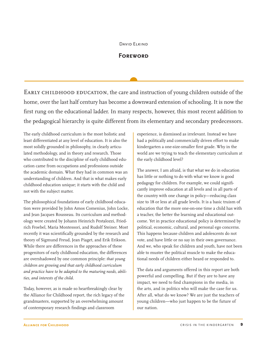#### DAVID ELKIND

### **Foreword**

*Early childhood education*, the care and instruction of young children outside of the home, over the last half century has become a downward extension of schooling. It is now the first rung on the educational ladder. In many respects, however, this most recent addition to the pedagogical hierarchy is quite different from its elementary and secondary predecessors.

The early childhood curriculum is the most holistic and least differentiated at any level of education. It is also the most solidly grounded in philosophy, in clearly articulated methodology, and in theory and research. Those who contributed to the discipline of early childhood education came from occupations and professions outside the academic domain. What they had in common was an understanding of children. And that is what makes early childhood education unique; it starts with the child and not with the subject matter.

The philosophical foundations of early childhood education were provided by John Amos Comenius, John Locke, and Jean Jacques Rousseau. Its curriculum and methodology were created by Johann Heinrich Pestalozzi, Friedrich Froebel, Maria Montessori, and Rudolf Steiner. Most recently it was scientifically grounded by the research and theory of Sigmund Freud, Jean Piaget, and Erik Erikson. While there are differences in the approaches of these progenitors of early childhood education, the differences are overshadowed by one common principle: *that young children are growing and that early childhood curriculum and practice have to be adapted to the maturing needs, abilities, and interests of the child*.

Today, however, as is made so heartbreakingly clear by the Alliance for Childhood report, the rich legacy of the grandmasters, supported by an overwhelming amount of contemporary research findings and classroom

experience, is dismissed as irrelevant. Instead we have had a politically and commercially driven effort to make kindergarten a one-size-smaller first grade. Why in the world are we trying to teach the elementary curriculum at the early childhood level?

The answer, I am afraid, is that what we do in education has little or nothing to do with what we know is good pedagogy for children. For example, we could significantly improve education at all levels and in all parts of the country with one change in policy—reducing class size to 18 or less at all grade levels. It is a basic truism of education that the more one-on-one time a child has with a teacher, the better the learning and educational outcome. Yet in practice educational policy is determined by political, economic, cultural, and personal ego concerns. This happens because children and adolescents do not vote, and have little or no say in their own governance. And we, who speak for children and youth, have not been able to muster the political muscle to make the educational needs of children either heard or responded to.

The data and arguments offered in this report are both powerful and compelling. But if they are to have any impact, we need to find champions in the media, in the arts, and in politics who will make the case for us. After all, what do we know? We are just the teachers of young children—who just happen to be the future of our nation.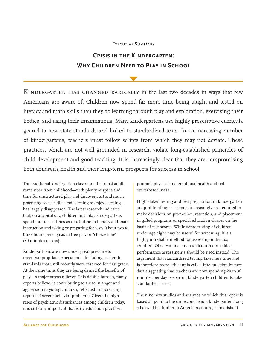### Executive Summary

# **Crisis in the Kindergarten: Why Children Need to Play in School**

*Kindergarten has changed radically* in the last two decades in ways that few Americans are aware of. Children now spend far more time being taught and tested on literacy and math skills than they do learning through play and exploration, exercising their bodies, and using their imaginations. Many kindergartens use highly prescriptive curricula geared to new state standards and linked to standardized tests. In an increasing number of kindergartens, teachers must follow scripts from which they may not deviate. These practices, which are not well grounded in research, violate long-established principles of child development and good teaching. It is increasingly clear that they are compromising both children's health and their long-term prospects for success in school.

The traditional kindergarten classroom that most adults remember from childhood—with plenty of space and time for unstructured play and discovery, art and music, practicing social skills, and learning to enjoy learning has largely disappeared. The latest research indicates that, on a typical day, children in all-day kindergartens spend four to six times as much time in literacy and math instruction and taking or preparing for tests (about two to three hours per day) as in free play or "choice time" (30 minutes or less).

Kindergartners are now under great pressure to meet inappropriate expectations, including academic standards that until recently were reserved for first grade. At the same time, they are being denied the benefits of play—a major stress reliever. This double burden, many experts believe, is contributing to a rise in anger and aggression in young children, reflected in increasing reports of severe behavior problems. Given the high rates of psychiatric disturbances among children today, it is critically important that early education practices

promote physical and emotional health and not exacerbate illness.

High-stakes testing and test preparation in kindergarten are proliferating, as schools increasingly are required to make decisions on promotion, retention, and placement in gifted programs or special education classes on the basis of test scores. While some testing of children under age eight may be useful for screening, it is a highly unreliable method for assessing individual children. Observational and curriculum-embedded performance assessments should be used instead. The argument that standardized testing takes less time and is therefore more efficient is called into question by new data suggesting that teachers are now spending 20 to 30 minutes per day preparing kindergarten children to take standardized tests.

The nine new studies and analyses on which this report is based all point to the same conclusion: kindergarten, long a beloved institution in American culture, is in crisis. If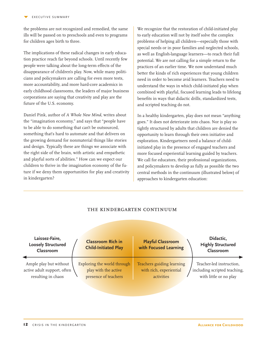the problems are not recognized and remedied, the same ills will be passed on to preschools and even to programs for children ages birth to three.

The implications of these radical changes in early education practice reach far beyond schools. Until recently few people were talking about the long-term effects of the disappearance of children's play. Now, while many politicians and policymakers are calling for even more tests, more accountability, and more hard-core academics in early childhood classrooms, the leaders of major business corporations are saying that creativity and play are the future of the U.S. economy.

Daniel Pink, author of *A Whole New Mind*, writes about the "imagination economy," and says that "people have to be able to do something that can't be outsourced, something that's hard to automate and that delivers on the growing demand for nonmaterial things like stories and design. Typically these are things we associate with the right side of the brain, with artistic and empathetic and playful sorts of abilities." How can we expect our children to thrive in the imagination economy of the future if we deny them opportunities for play and creativity in kindergarten?

We recognize that the restoration of child-initiated play to early education will not by itself solve the complex problems of helping all children—especially those with special needs or in poor families and neglected schools, as well as English-language learners—to reach their full potential. We are not calling for a simple return to the practices of an earlier time. We now understand much better the kinds of rich experiences that young children need in order to become avid learners. Teachers need to understand the ways in which child-initiated play when combined with playful, focused learning leads to lifelong benefits in ways that didactic drills, standardized tests, and scripted teaching do not.

In a healthy kindergarten, play does not mean "anything goes." It does not deteriorate into chaos. Nor is play so tightly structured by adults that children are denied the opportunity to learn through their own initiative and exploration. Kindergartners need a balance of childinitiated play in the presence of engaged teachers and more focused experiential learning guided by teachers. We call for educators, their professional organizations, and policymakers to develop as fully as possible the two central methods in the continuum (illustrated below) of approaches to kindergarten education:

| Laissez-Faire,<br><b>Loosely Structured</b><br>Classroom                    | <b>Classroom Rich in</b><br><b>Child-Initiated Play</b>                     | <b>Playful Classroom</b><br>with Focused Learning                  | Didactic,<br><b>Highly Structured</b><br>Classroom                                 |
|-----------------------------------------------------------------------------|-----------------------------------------------------------------------------|--------------------------------------------------------------------|------------------------------------------------------------------------------------|
| Ample play but without<br>active adult support, often<br>resulting in chaos | Exploring the world through<br>play with the active<br>presence of teachers | Teachers guiding learning<br>with rich, experiential<br>activities | Teacher-led instruction,<br>including scripted teaching,<br>with little or no play |

### *the kindergarten continuum*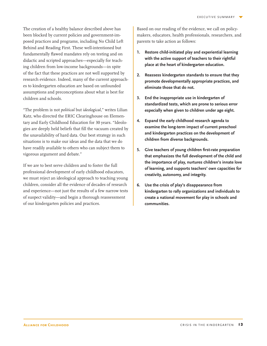The creation of a healthy balance described above has been blocked by current policies and government-imposed practices and programs, including No Child Left Behind and Reading First. These well-intentioned but fundamentally flawed mandates rely on testing and on didactic and scripted approaches—especially for teaching children from low-income backgrounds—in spite of the fact that these practices are not well supported by research evidence. Indeed, many of the current approaches to kindergarten education are based on unfounded assumptions and preconceptions about what is best for children and schools.

"The problem is not *political* but *ideological*," writes Lilian Katz, who directed the ERIC Clearinghouse on Elementary and Early Childhood Education for 30 years. "Ideologies are deeply held beliefs that fill the vacuum created by the unavailability of hard data. Our best strategy in such situations is to make our ideas and the data that we do have readily available to others who can subject them to vigorous argument and debate."

If we are to best serve children and to foster the full professional development of early childhood educators, we must reject an ideological approach to teaching young children, consider all the evidence of decades of research and experience—not just the results of a few narrow tests of suspect validity—and begin a thorough reassessment of our kindergarten policies and practices.

Based on our reading of the evidence, we call on policymakers, educators, health professionals, researchers, and parents to take action as follows:

- **1. Restore child-initiated play and experiential learning with the active support of teachers to their rightful place at the heart of kindergarten education.**
- **2. Reassess kindergarten standards to ensure that they promote developmentally appropriate practices, and eliminate those that do not.**
- **3. End the inappropriate use in kindergarten of standardized tests, which are prone to serious error especially when given to children under age eight.**
- **4. Expand the early childhood research agenda to examine the long-term impact of current preschool and kindergarten practices on the development of children from diverse backgrounds.**
- **5. Give teachers of young children first-rate preparation that emphasizes the full development of the child and the importance of play, nurtures children's innate love of learning, and supports teachers' own capacities for creativity, autonomy, and integrity.**
- **6. Use the crisis of play's disappearance from kindergarten to rally organizations and individuals to create a national movement for play in schools and communities.**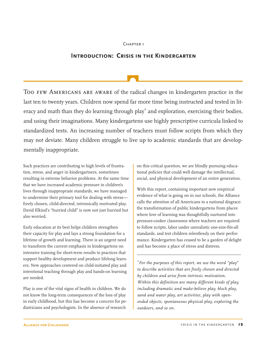#### Chapter 1

### **Introduction: Crisis in the Kindergarten**

*Too few Americans are aware* of the radical changes in kindergarten practice in the last ten to twenty years. Children now spend far more time being instructed and tested in literacy and math than they do learning through play\* and exploration, exercising their bodies, and using their imaginations. Many kindergartens use highly prescriptive curricula linked to standardized tests. An increasing number of teachers must follow scripts from which they may not deviate. Many children struggle to live up to academic standards that are developmentally inappropriate.

Such practices are contributing to high levels of frustration, stress, and anger in kindergartners, sometimes resulting in extreme behavior problems. At the same time that we have increased academic pressure in children's lives through inappropriate standards, we have managed to undermine their primary tool for dealing with stress freely chosen, child-directed, intrinsically motivated play. David Elkind's "hurried child" is now not just hurried but also worried.

Early education at its best helps children strengthen their capacity for play and lays a strong foundation for a lifetime of growth and learning. There is an urgent need to transform the current emphasis in kindergartens on intensive training for short-term results to practices that support healthy development and produce lifelong learners. New approaches centered on child-initiated play and intentional teaching through play and hands-on learning are needed.

Play is one of the vital signs of health in children. We do not know the long-term consequences of the loss of play in early childhood, but this has become a concern for pediatricians and psychologists. In the absence of research

on this critical question, we are blindly pursuing educational policies that could well damage the intellectual, social, and physical development of an entire generation.

With this report, containing important new empirical evidence of what is going on in our schools, the Alliance calls the attention of all Americans to a national disgrace: the transformation of public kindergartens from places where love of learning was thoughtfully nurtured into pressure-cooker classrooms where teachers are required to follow scripts, labor under unrealistic one-size-fits-all standards, and test children relentlessly on their performance. Kindergarten has ceased to be a garden of delight and has become a place of stress and distress.

*\* For the purposes of this report, we use the word "play" to describe activities that are freely chosen and directed by children and arise from intrinsic motivation. Within this definition are many different kinds of play, including dramatic and make-believe play, block play, sand and water play, art activities, play with openended objects, spontaneous physical play, exploring the outdoors, and so on.*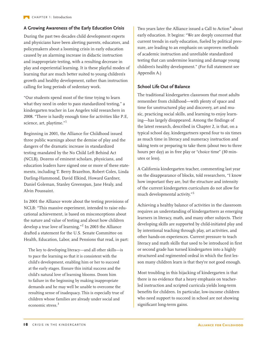### **A Growing Awareness of the Early Education Crisis**

During the past two decades child development experts and physicians have been alerting parents, educators, and policymakers about a looming crisis in early education caused by an alarming increase in didactic instruction and inappropriate testing, with a resulting decrease in play and experiential learning. It is these playful modes of learning that are much better suited to young children's growth and healthy development, rather than instruction calling for long periods of sedentary work.

"Our students spend most of the time trying to learn what they need in order to pass standardized testing," a kindergarten teacher in Los Angeles told researchers in 2008. "There is hardly enough time for activities like P.E, science, art, playtime."<sup>1</sup>

Beginning in 2001, the Alliance for Childhood issued three public warnings about the demise of play and the dangers of the dramatic increase in standardized testing mandated by the No Child Left Behind Act (NCLB). Dozens of eminent scholars, physicians, and education leaders have signed one or more of these statements, including T. Berry Brazelton, Robert Coles, Linda Darling-Hammond, David Elkind, Howard Gardner, Daniel Goleman, Stanley Greenspan, Jane Healy, and Alvin Poussaint.

In 2001 the Alliance wrote about the testing provisions of NCLB: "This massive experiment, intended to raise educational achievement, is based on misconceptions about the nature and value of testing and about how children develop a true love of learning."<sup>2</sup> In 2003 the Alliance drafted a statement for the U.S. Senate Committee on Health, Education, Labor, and Pensions that read, in part:

The key to developing literacy—and all other skills—is to pace the learning so that it is consistent with the child's development, enabling him or her to succeed at the early stages. Ensure this initial success and the child's natural love of learning blooms. Doom him to failure in the beginning by making inappropriate demands and he may well be unable to overcome the resulting sense of inadequacy. This is especially true of children whose families are already under social and economic stress.<sup>3</sup>

Two years later the Alliance issued a Call to Action<sup>4</sup> about early education. It begins: "We are deeply concerned that current trends in early education, fueled by political pressure, are leading to an emphasis on unproven methods of academic instruction and unreliable standardized testing that can undermine learning and damage young children's healthy development." (For full statement see Appendix A.)

### **School Life Out of Balance**

The traditional kindergarten classroom that most adults remember from childhood—with plenty of space and time for unstructured play and discovery, art and music, practicing social skills, and learning to enjoy learning—has largely disappeared. Among the findings of the latest research, described in Chapter 2, is that, on a typical school day, kindergartners spend four to six times as much time in literacy and numeracy instruction and taking tests or preparing to take them (about two to three hours per day) as in free play or "choice time" (30 minutes or less).

A California kindergarten teacher, commenting last year on the disappearance of blocks, told researchers, "I know how important they are, but the structure and intensity of the current kindergarten curriculum do not allow for much developmental activity."<sup>5</sup>

Achieving a healthy balance of activities in the classroom requires an understanding of kindergartners as emerging learners in literacy, math, and many other subjects. Their developing skills are supported by child-initiated play and by intentional teaching through play, art activities, and other hands-on experiences. Current pressure to teach literacy and math skills that used to be introduced in first or second grade has turned kindergarten into a highly structured and regimented ordeal in which the first lesson many children learn is that they're not good enough.

Most troubling in this hijacking of kindergarten is that there is no evidence that a heavy emphasis on teacherled instruction and scripted curricula yields long-term benefits for children. In particular, low-income children who need support to succeed in school are not showing significant long-term gains.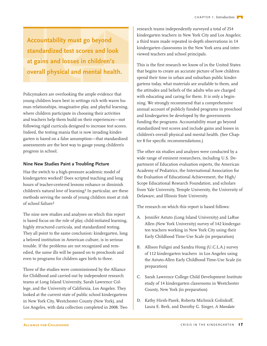**Accountability must go beyond standardized test scores and look at gains and losses in children's overall physical and mental health.**

Policymakers are overlooking the ample evidence that young children learn best in settings rich with warm human relationships, imaginative play, and playful learning, where children participate in choosing their activities and teachers help them build on their experiences—not following rigid curricula designed to increase test scores. Indeed, the testing mania that is now invading kindergarten is based on a false assumption—that standardized assessments are the best way to gauge young children's progress in school.

### **Nine New Studies Paint a Troubling Picture**

Has the switch to a high-pressure academic model of kindergarten worked? Does scripted teaching and long hours of teacher-centered lessons enhance or diminish children's natural love of learning? In particular, are these methods serving the needs of young children most at risk of school failure?

The nine new studies and analyses on which this report is based focus on the role of play, child-initiated learning, highly structured curricula, and standardized testing. They all point to the same conclusion: kindergarten, long a beloved institution in American culture, is in serious trouble. If the problems are not recognized and remedied, the same ills will be passed on to preschools and even to programs for children ages birth to three.

Three of the studies were commissioned by the Alliance for Childhood and carried out by independent research teams at Long Island University, Sarah Lawrence College, and the University of California, Los Angeles. They looked at the current state of public school kindergartens in New York City, Westchester County (New York), and Los Angeles, with data collection completed in 2008. Two research teams independently surveyed a total of 254 kindergarten teachers in New York City and Los Angeles; a third team made repeated in-depth observations in 14 kindergarten classrooms in the New York area and interviewed teachers and school principals.

This is the first research we know of in the United States that begins to create an accurate picture of how children spend their time in urban and suburban public kindergartens today, what materials are available to them, and the attitudes and beliefs of the adults who are charged with educating and caring for them. It is only a beginning. We strongly recommend that a comprehensive annual account of publicly funded programs in preschool and kindergarten be developed by the governments funding the programs. Accountability must go beyond standardized test scores and include gains and losses in children's overall physical and mental health. (See Chapter 8 for specific recommendations.)

The other six studies and analyses were conducted by a wide range of eminent researchers, including U.S. Department of Education evaluation experts, the American Academy of Pediatrics, the International Association for the Evaluation of Educational Achievement, the High/ Scope Educational Research Foundation, and scholars from Yale University, Temple University, the University of Delaware, and Illinois State University.

The research on which this report is based follows:

- A. Jennifer Astuto (Long Island University) and LaRue Allen (New York University) survey of 142 kindergarten teachers working in New York City using their Early Childhood Time-Use Scale (in preparation)
- B. Allison Fuligni and Sandra Hong (U.C.L.A.) survey of 112 kindergarten teachers in Los Angeles using the Astuto-Allen Early Childhood Time-Use Scale (in preparation)
- C. Sarah Lawrence College Child Development Institute study of 14 kindergarten classrooms in Westchester County, New York (in preparation)
- D. Kathy Hirsh-Pasek, Roberta Michnick Golinkoff, Laura E. Berk, and Dorothy G. Singer, *A Mandate*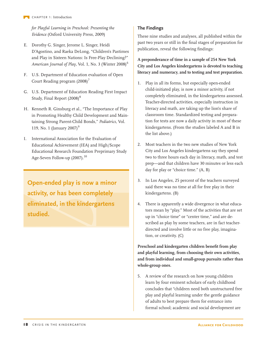*for Playful Learning in Preschool: Presenting the Evidence* (Oxford University Press, 2009)

- E. Dorothy G. Singer, Jerome L. Singer, Heidi D'Agostino, and Raeka DeLong, "Children's Pastimes and Play in Sixteen Nations: Is Free-Play Declining?" *American Journal of Play*, Vol. 1, No. 3 (Winter 2008) 6
- F. U.S. Department of Education evaluation of Open Court Reading program (2008) 7
- G. U.S. Department of Education Reading First Impact Study, Final Report (2008) 8
- H. Kenneth R. Ginsburg et al., "The Importance of Play in Promoting Healthy Child Development and Maintaining Strong Parent-Child Bonds," *Pediatrics*, Vol. 119, No. 1 (January 2007)<sup>9</sup>
- I. International Association for the Evaluation of Educational Achievement (IEA) and High/Scope Educational Research Foundation Preprimary Study Age-Seven Follow-up (2007). 10

**Open-ended play is now a minor activity, or has been completely eliminated, in the kindergartens studied.**

### **The Findings**

These nine studies and analyses, all published within the past two years or still in the final stages of preparation for publication, reveal the following findings:

**A preponderance of time in a sample of 254 New York City and Los Angeles kindergartens is devoted to teaching literacy and numeracy, and to testing and test preparation.**

- 1. Play in all its forms, but especially open-ended child-initiated play, is now a minor activity, if not completely eliminated, in the kindergartens assessed. Teacher-directed activities, especially instruction in literacy and math, are taking up the lion's share of classroom time. Standardized testing and preparation for tests are now a daily activity in most of these kindergartens. (From the studies labeled A and B in the list above.)
- 2. Most teachers in the two new studies of New York City and Los Angeles kindergartens say they spend two to three hours each day in literacy, math, and test prep—and that children have 30 minutes or less each day for play or "choice time." (A, B)
- 3. In Los Angeles, 25 percent of the teachers surveyed said there was no time at all for free play in their kindergartens. (B)
- 4. There is apparently a wide divergence in what educators mean by "play." Most of the activities that are set up in "choice time" or "center time," and are described as play by some teachers, are in fact teacherdirected and involve little or no free play, imagination, or creativity. (C)

**Preschool and kindergarten children benefit from play and playful learning, from choosing their own activities, and from individual and small-group pursuits rather than whole-group ones.**

5. A review of the research on how young children learn by four eminent scholars of early childhood concludes that "children need both unstructured free play and playful learning under the gentle guidance of adults to best prepare them for entrance into formal school; academic and social development are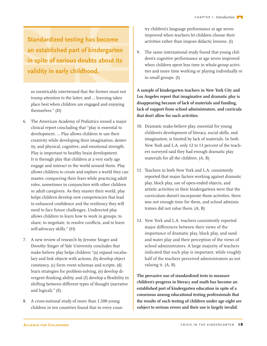**Standardized testing has become an established part of kindergarten in spite of serious doubts about its validity in early childhood.**

so inextricably intertwined that the former must not trump attention to the latter; and ... learning takes place best when children are engaged and enjoying themselves." (D)

- 6. The American Academy of Pediatrics issued a major clinical report concluding that "play is essential to development. ... Play allows children to use their creativity while developing their imagination, dexterity, and physical, cognitive, and emotional strength. Play is important to healthy brain development. It is through play that children at a very early age engage and interact in the world around them. Play allows children to create and explore a world they can master, conquering their fears while practicing adult roles, sometimes in conjunction with other children or adult caregivers. As they master their world, play helps children develop new competencies that lead to enhanced confidence and the resiliency they will need to face future challenges. Undirected play allows children to learn how to work in groups, to share, to negotiate, to resolve conflicts, and to learn self-advocacy skills." (H)
- 7. A new review of research by Jerome Singer and Dorothy Singer of Yale University concludes that make-believe play helps children "(a) expand vocabulary and link objects with actions, (b) develop object constancy, (c) form event schemas and scripts, (d) learn strategies for problem-solving, (e) develop divergent thinking ability, and (f) develop a flexibility in shifting between different types of thought (narrative and logical)." (E)
- 8. A cross-national study of more than 1,500 young children in ten countries found that in every coun-

try children's language performance at age seven improved when teachers let children choose their activities rather than impose didactic lessons. (I)

9. The same international study found that young children's cognitive performance at age seven improved when children spent less time in whole-group activities and more time working or playing individually or in small groups. (I)

**A sample of kindergarten teachers in New York City and Los Angeles report that imaginative and dramatic play is disappearing because of lack of materials and funding, lack of support from school administrators, and curricula that don't allow for such activities.**

- 10. Dramatic make-believe play, essential for young children's development of literacy, social skills, and imagination, is limited by lack of materials. In both New York and L.A. only 12 to 13 percent of the teachers surveyed said they had enough dramatic play materials for all the children. (A, B)
- 11. Teachers in both New York and L.A. consistently reported that major factors working against dramatic play, block play, use of open-ended objects, and artistic activities in their kindergartens were that the curriculum doesn't incorporate those activities, there was not enough time for them, and school administrators did not value them. (A, B)
- 12. New York and L.A. teachers consistently reported major differences between their views of the importance of dramatic play, block play, and sand and water play and their perception of the views of school administrators. A large majority of teachers indicated that such play is important, while roughly half of the teachers perceived administrators as not valuing it. (A, B)

**The pervasive use of standardized tests to measure children's progress in literacy and math has become an established part of kindergarten education in spite of a consensus among educational testing professionals that the results of such testing of children under age eight are subject to serious errors and their use is largely invalid.**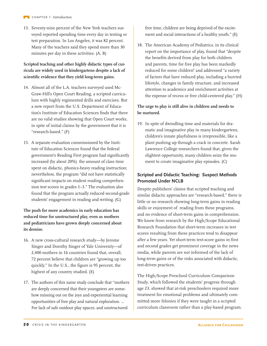13. Seventy-nine percent of the New York teachers surveyed reported spending time every day in testing or test preparation. In Los Angeles, it was 82 percent. Many of the teachers said they spend more than 30 minutes per day in these activities. (A, B)

### **Scripted teaching and other highly didactic types of curricula are widely used in kindergartens despite a lack of scientific evidence that they yield long-term gains.**

- 14. Almost all of the L.A. teachers surveyed used Mc-Graw-Hill's Open Court Reading, a scripted curriculum with highly regimented drills and exercises. But a new report from the U.S. Department of Education's Institute of Education Sciences finds that there are no valid studies showing that Open Court works, in spite of initial claims by the government that it is "research-based." (F)
- 15. A separate evaluation commissioned by the Institute of Education Sciences found that the federal government's Reading First program had significantly increased (by about 20%) the amount of class time spent on didactic, phonics-heavy reading instruction; nevertheless, the program "did not have statistically significant impacts on student reading comprehension test scores in grades 1–3." The evaluation also found that the program actually reduced second-grade students' engagement in reading and writing. (G)

**The push for more academics in early education has reduced time for unstructured play, even as mothers and pediatricians have grown deeply concerned about its demise.**

- 16. A new cross-cultural research study—by Jerome Singer and Dorothy Singer of Yale University—of 2,400 mothers in 16 countries found that, overall, 72 percent believe that children are "growing up too quickly." In the U.S., the figure is 95 percent, the highest of any country studied. (E)
- 17. The authors of this same study conclude that "mothers are deeply concerned that their youngsters are somehow missing out on the joys and experiential learning opportunities of free play and natural exploration. ... For lack of safe outdoor play spaces, and unstructured

free time, children are being deprived of the excitement and social interactions of a healthy youth." (E)

18. The American Academy of Pediatrics, in its clinical report on the importance of play, found that "despite the benefits derived from play for both children and parents, time for free play has been markedly reduced for some children" and addressed "a variety of factors that have reduced play, including a hurried lifestyle, changes in family structure, and increased attention to academics and enrichment activities at the expense of recess or free child-centered play." (H)

### **The urge to play is still alive in children and needs to be nurtured.**

19. In spite of dwindling time and materials for dramatic and imaginative play in many kindergartens, children's innate playfulness is irrepressible, like a plant pushing up through a crack in concrete. Sarah Lawrence College researchers found that, given the slightest opportunity, many children seize the moment to create imaginative play episodes. (C)

### **Scripted and Didactic Teaching: Suspect Methods Promoted Under NCLB**

Despite publishers' claims that scripted teaching and similar didactic approaches are "research-based," there is little or no research showing long-term gains in reading skills or enjoyment of reading from these programs, and no evidence of short-term gains in comprehension. We know from research by the High/Scope Educational Research Foundation that short-term increases in test scores resulting from these practices tend to disappear after a few years. Yet short-term test-score gains in first and second grades get prominent coverage in the news media, while parents are not informed of the lack of long-term gains or of the risks associated with didactic, test-driven practices.

The High/Scope Preschool Curriculum Comparison Study, which followed the students' progress through age 23, showed that at-risk preschoolers required more treatment for emotional problems and ultimately committed more felonies if they were taught in a scripted curriculum classroom rather than a play-based program.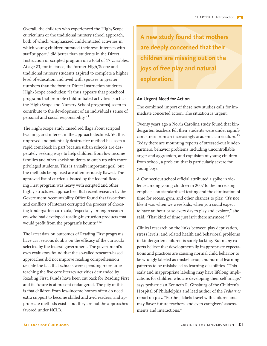Overall, the children who experienced the High/Scope curriculum or the traditional nursery school approach, both of which "emphasized child-initiated activities in which young children pursued their own interests with staff support," did better than students in the Direct Instruction or scripted program on a total of 17 variables. At age 23, for instance, the former High/Scope and traditional nursery students aspired to complete a higher level of education and lived with spouses in greater numbers than the former Direct Instruction students. High/Scope concludes: "It thus appears that preschool programs that promote child-initiated activities (such as the High/Scope and Nursery School programs) seem to contribute to the development of an individual's sense of personal and social responsibility." 11

The High/Scope study raised red flags about scripted teaching, and interest in the approach declined. Yet this unproved and potentially destructive method has seen a rapid comeback in part because urban schools are desperately seeking ways to help children from low-income families and other at-risk students to catch up with more privileged students. This is a vitally important goal, but the methods being used are often seriously flawed. The approved list of curricula issued by the federal Reading First program was heavy with scripted and other highly structured approaches. But recent research by the Government Accountability Office found that favoritism and conflicts of interest corrupted the process of choosing kindergarten curricula, "especially among researchers who had developed reading-instruction products that would profit from the program's bounty." 12

The latest data on outcomes of Reading First programs have cast serious doubts on the efficacy of the curricula selected by the federal government. The government's own evaluators found that the so-called research-based approaches did not improve reading comprehension despite the fact that schools were spending more time teaching the five core literacy activities demanded by Reading First. Funds have been cut back for Reading First and its future is at present endangered. The pity of this is that children from low-income homes often do need extra support to become skilled and avid readers, and appropriate methods exist—but they are not the approaches favored under NCLB.

**A new study found that mothers are deeply concerned that their children are missing out on the joys of free play and natural exploration.**

#### **An Urgent Need for Action**

The combined import of these new studies calls for immediate concerted action. The situation is urgent.

Twenty years ago a North Carolina study found that kindergarten teachers felt their students were under significant stress from an increasingly academic curriculum.<sup>13</sup> Today there are mounting reports of stressed-out kindergartners, behavior problems including uncontrollable anger and aggression, and expulsion of young children from school, a problem that is particularly severe for young boys.

A Connecticut school official attributed a spike in violence among young children in 2007 to the increasing emphasis on standardized testing and the elimination of time for recess, gym, and other chances to play. "It's not like it was when we were kids, when you could expect to have an hour or so every day to play and explore," she said. "That kind of time just isn't there anymore."<sup>14</sup>

Clinical research on the links between play deprivation, stress levels, and related health and behavioral problems in kindergarten children is sorely lacking. But many experts believe that developmentally inappropriate expectations and practices are causing normal child behavior to be wrongly labeled as misbehavior, and normal learning patterns to be mislabeled as learning disabilities. "This early and inappropriate labeling may have lifelong implications for children who are developing their self-image," says pediatrician Kenneth R. Ginsburg of the Children's Hospital of Philadelphia and lead author of the *Pediatrics* report on play. "Further, labels travel with children and may flavor future teachers' and even caregivers' assessments and interactions."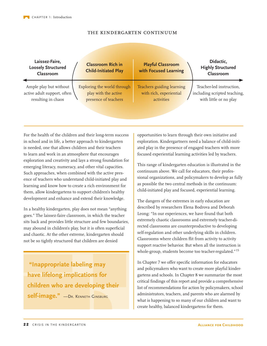### *the kindergarten continuum*

| Laissez-Faire,<br><b>Loosely Structured</b><br>Classroom                    | <b>Classroom Rich in</b><br><b>Child-Initiated Play</b>                     | <b>Playful Classroom</b><br>with Focused Learning                  |  | Didactic,<br><b>Highly Structured</b><br>Classroom                                 |
|-----------------------------------------------------------------------------|-----------------------------------------------------------------------------|--------------------------------------------------------------------|--|------------------------------------------------------------------------------------|
| Ample play but without<br>active adult support, often<br>resulting in chaos | Exploring the world through<br>play with the active<br>presence of teachers | Teachers guiding learning<br>with rich, experiential<br>activities |  | Teacher-led instruction,<br>including scripted teaching,<br>with little or no play |

For the health of the children and their long-term success in school and in life, a better approach to kindergarten is needed, one that allows children and their teachers to learn and work in an atmosphere that encourages exploration and creativity and lays a strong foundation for emerging literacy, numeracy, and other vital capacities. Such approaches, when combined with the active presence of teachers who understand child-initiated play and learning and know how to create a rich environment for them, allow kindergartens to support children's healthy development and enhance and extend their knowledge.

In a healthy kindergarten, play does not mean "anything goes." The laissez-faire classroom, in which the teacher sits back and provides little structure and few boundaries, may abound in children's play, but it is often superficial and chaotic. At the other extreme, kindergarten should not be so tightly structured that children are denied

 **"Inappropriate labeling may have lifelong implications for children who are developing their self-image."** —DR. KENNETH GINSBURG

opportunities to learn through their own initiative and exploration. Kindergartners need a balance of child-initiated play in the presence of engaged teachers with more focused experiential learning activities led by teachers.

This range of kindergarten education is illustrated in the continuum above. We call for educators, their professional organizations, and policymakers to develop as fully as possible the two central methods in the continuum: child-initiated play and focused, experiential learning.

The dangers of the extremes in early education are described by researchers Elena Bodrova and Deborah Leong: "In our experiences, we have found that both extremely chaotic classrooms and extremely teacher-directed classrooms are counterproductive to developing self-regulation and other underlying skills in children. Classrooms where children flit from activity to activity support reactive behavior. But when all the instruction is whole-group, students become too teacher-regulated."<sup>15</sup>

In Chapter 7 we offer specific information for educators and policymakers who want to create more playful kindergartens and schools. In Chapter 8 we summarize the most critical findings of this report and provide a comprehensive list of recommendations for action by policymakers, school administrators, teachers, and parents who are alarmed by what is happening to so many of our children and want to create healthy, balanced kindergartens for them.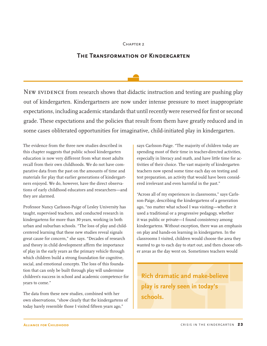#### CHAPTER<sub>2</sub>

### **The Transformation of Kindergarten**

*New evidence* from research shows that didactic instruction and testing are pushing play out of kindergarten. Kindergartners are now under intense pressure to meet inappropriate expectations, including academic standards that until recently were reserved for first or second grade. These expectations and the policies that result from them have greatly reduced and in some cases obliterated opportunities for imaginative, child-initiated play in kindergarten.

The evidence from the three new studies described in this chapter suggests that public school kindergarten education is now very different from what most adults recall from their own childhoods. We do not have comparative data from the past on the amounts of time and materials for play that earlier generations of kindergartners enjoyed. We do, however, have the direct observations of early childhood educators and researchers—and they are alarmed.

Professor Nancy Carlsson-Paige of Lesley University has taught, supervised teachers, and conducted research in kindergartens for more than 30 years, working in both urban and suburban schools. "The loss of play and childcentered learning that these new studies reveal signals great cause for concern," she says. "Decades of research and theory in child development affirm the importance of play in the early years as the primary vehicle through which children build a strong foundation for cognitive, social, and emotional concepts. The loss of this foundation that can only be built through play will undermine children's success in school and academic competence for years to come."

The data from these new studies, combined with her own observations, "show clearly that the kindergartens of today barely resemble those I visited fifteen years ago,"

says Carlsson-Paige. "The majority of children today are spending most of their time in teacher-directed activities, especially in literacy and math, and have little time for activities of their choice. The vast majority of kindergarten teachers now spend some time each day on testing and test preparation, an activity that would have been considered irrelevant and even harmful in the past."

"Across all of my experiences in classrooms," says Carlsson-Paige, describing the kindergartens of a generation ago, "no matter what school I was visiting—whether it used a traditional or a progressive pedagogy, whether it was public or private—I found consistency among kindergartens. Without exception, there was an emphasis on play and hands-on learning in kindergarten. In the classrooms I visited, children would choose the area they wanted to go to each day to start out, and then choose other areas as the day went on. Sometimes teachers would

**Rich dramatic and make-believe play is rarely seen in today's schools.**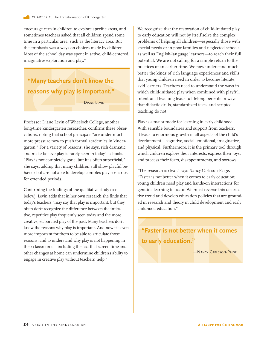encourage certain children to explore specific areas, and sometimes teachers asked that all children spend some time in a particular area, such as the literacy area. But the emphasis was always on choices made by children. Most of the school day was spent in active, child-centered, imaginative exploration and play."

# **"Many teachers don't know the reasons why play is important."**

—DIANE LEVIN

Professor Diane Levin of Wheelock College, another long-time kindergarten researcher, confirms these observations, noting that school principals "are under much more pressure now to push formal academics in kindergarten." For a variety of reasons, she says, rich dramatic and make-believe play is rarely seen in today's schools. "Play is not completely gone, but it is often superficial," she says, adding that many children still show playful behavior but are not able to develop complex play scenarios for extended periods.

Confirming the findings of the qualitative study (see below), Levin adds that in her own research she finds that today's teachers "may say that play is important, but they often don't recognize the difference between the imitative, repetitive play frequently seen today and the more creative, elaborated play of the past. Many teachers don't know the reasons why play is important. And now it's even more important for them to be able to articulate those reasons, and to understand why play is not happening in their classrooms—including the fact that screen time and other changes at home can undermine children's ability to engage in creative play without teachers' help."

We recognize that the restoration of child-initiated play to early education will not by itself solve the complex problems of helping all children—especially those with special needs or in poor families and neglected schools, as well as English-language learners—to reach their full potential. We are not calling for a simple return to the practices of an earlier time. We now understand much better the kinds of rich language experiences and skills that young children need in order to become literate, avid learners. Teachers need to understand the ways in which child-initiated play when combined with playful, intentional teaching leads to lifelong benefits in ways that didactic drills, standardized tests, and scripted teaching do not.

Play is a major mode for learning in early childhood. With sensible boundaries and support from teachers, it leads to enormous growth in all aspects of the child's development—cognitive, social, emotional, imaginative, and physical. Furthermore, it is the primary tool through which children explore their interests, express their joys, and process their fears, disappointments, and sorrows.

"The research is clear," says Nancy Carlsson-Paige. "Faster is not better when it comes to early education; young children need play and hands-on interactions for genuine learning to occur. We must reverse this destructive trend and develop education policies that are grounded in research and theory in child development and early childhood education."

**"Faster is not better when it comes to early education."**

**-NANCY CARLSSON-PAIGE**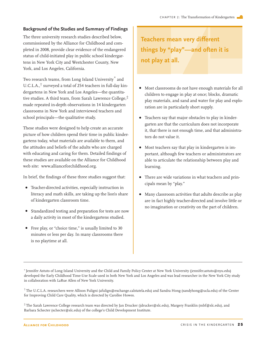### **Background of the Studies and Summary of Findings**

The three university research studies described below, commissioned by the Alliance for Childhood and completed in 2008, provide clear evidence of the endangered status of child-initiated play in public school kindergartens in New York City and Westchester County, New York, and Los Angeles, California.

Two research teams, from Long Island University<sup>\*</sup> and U.C.L.A.,† surveyed a total of 254 teachers in full-day kindergartens in New York and Los Angeles—the quantitative studies. A third team, from Sarah Lawrence College,‡ made repeated in-depth observations in 14 kindergarten classrooms in New York and interviewed teachers and school principals—the qualitative study.

These studies were designed to help create an accurate picture of how children spend their time in public kindergartens today, what materials are available to them, and the attitudes and beliefs of the adults who are charged with educating and caring for them. Detailed findings of these studies are available on the Alliance for Childhood web site: www.allianceforchildhood.org.

In brief, the findings of these three studies suggest that:

- Teacher-directed activities, especially instruction in literacy and math skills, are taking up the lion's share of kindergarten classroom time.
- Standardized testing and preparation for tests are now a daily activity in most of the kindergartens studied.
- Free play, or "choice time," is usually limited to 30 minutes or less per day. In many classrooms there is no playtime at all.

**Teachers mean very different things by "play"—and often it is not play at all.**

- Most classrooms do not have enough materials for all children to engage in play at once; blocks, dramatic play materials, and sand and water for play and exploration are in particularly short supply.
- Teachers say that major obstacles to play in kindergarten are that the curriculum does not incorporate it, that there is not enough time, and that administrators do not value it.
- Most teachers say that play in kindergarten is important, although few teachers or administrators are able to articulate the relationship between play and learning.
- There are wide variations in what teachers and principals mean by "play."
- Many classroom activities that adults describe as play are in fact highly teacher-directed and involve little or no imagination or creativity on the part of children.

\* Jennifer Astuto of Long Island University and the Child and Family Policy Center at New York University (jennifer.astuto@nyu.edu) developed the Early Childhood Time-Use Scale used in both New York and Los Angeles and was lead researcher in the New York City study in collaboration with LaRue Allen of New York University.

† The U.C.L.A. researchers were Allison Fuligni (afulign@exchange.calstatela.edu) and Sandra Hong (sandyhong@ucla.edu) of the Center for Improving Child Care Quality, which is directed by Carollee Howes.

‡ The Sarah Lawrence College research team was directed by Jan Drucker (jdrucker@slc.edu), Margery Franklin (mbf@slc.edu), and Barbara Schecter (schecter@slc.edu) of the college's Child Development Institute.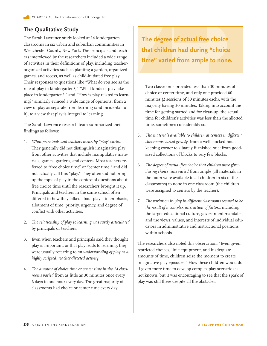### **The Qualitative Study**

The Sarah Lawrence study looked at 14 kindergarten classrooms in six urban and suburban communities in Westchester County, New York. The principals and teachers interviewed by the researchers included a wide range of activities in their definitions of play, including teacherorganized activities such as planting a garden, organized games, and recess, as well as child-initiated free play. Their responses to questions like "What do you see as the role of play in kindergarten?," "What kinds of play take place in kindergarten?," and "How is play related to learning?" similarly evinced a wide range of opinions, from a view of play as separate from learning (and incidental to it), to a view that play is integral to learning.

The Sarah Lawrence research team summarized their findings as follows:

- 1. *What principals and teachers mean by "play" varies.* They generally did not distinguish imaginative play from other activities that include manipulative materials, games, gardens, and centers. Most teachers referred to "free choice time" or "center time," and did not actually call this "play." They often did not bring up the topic of play in the context of questions about free choice time until the researchers brought it up. Principals and teachers in the same school often differed in how they talked about play—in emphasis, allotment of time, priority, urgency, and degree of conflict with other activities.
- 2. *The relationship of play to learning was rarely articulated* by principals or teachers.
- 3. Even when teachers and principals said they thought play is important, or that play leads to learning, they were usually referring to *an understanding of play as a highly scripted, teacher-directed activity*.
- 4. *The amount of choice time or center time in the 14 classrooms varied* from as little as 30 minutes once every 6 days to one hour every day. The great majority of classrooms had choice or center time every day.

**The degree of actual free choice that children had during "choice time" varied from ample to none.**

Two classrooms provided less than 30 minutes of choice or center time, and only one provided 60 minutes (2 sessions of 30 minutes each), with the majority having 30 minutes. Taking into account the time for getting started and for clean-up, the actual time for children's activities was less than the allotted time, sometimes considerably so.

- 5. *The materials available to children at centers in different classrooms varied greatly*, from a well-stocked housekeeping corner to a barely furnished one; from goodsized collections of blocks to very few blocks.
- 6. *The degree of actual free choice that children were given during choice time varied* from ample (all materials in the room were available to all children in six of the classrooms) to none in one classroom (the children were assigned to centers by the teacher).
- 7. *The variation in play in different classrooms seemed to be the result of a complex interaction of factors*, including the larger educational culture, government mandates, and the views, values, and interests of individual educators in administrative and instructional positions within schools.

The researchers also noted this observation: "Even given restricted choices, little equipment, and inadequate amounts of time, children seize the moment to create imaginative play episodes." How these children would do if given more time to develop complex play scenarios is not known, but it was encouraging to see that the spark of play was still there despite all the obstacles.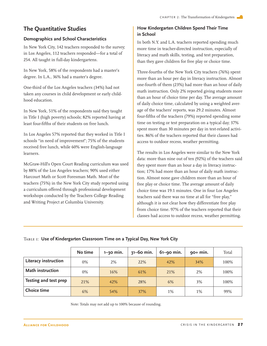### **The Quantitative Studies**

### **Demographics and School Characteristics**

In New York City, 142 teachers responded to the survey; in Los Angeles, 112 teachers responded—for a total of 254. All taught in full-day kindergartens.

In New York, 58% of the respondents had a master's degree. In L.A., 36% had a master's degree.

One-third of the Los Angeles teachers (34%) had not taken any courses in child development or early childhood education.

In New York, 51% of the respondents said they taught in Title I (high poverty) schools; 82% reported having at least four-fifths of their students on free lunch.

In Los Angeles 57% reported that they worked in Title I schools "in need of improvement"; 75% of the students received free lunch, while 60% were English-language learners.

McGraw-Hill's Open Court Reading curriculum was used by 88% of the Los Angeles teachers; 90% used either Harcourt Math or Scott Foresman Math. Most of the teachers (75%) in the New York City study reported using a curriculum offered through professional development workshops conducted by the Teachers College Reading and Writing Project at Columbia University.

### **How Kindergarten Children Spend Their Time in School**

In both N.Y. and L.A. teachers reported spending much more time in teacher-directed instruction, especially of literacy and math skills, testing, and test preparation, than they gave children for free play or choice time.

Three-fourths of the New York City teachers (76%) spent more than an hour per day in literacy instruction. Almost one-fourth of them (23%) had more than an hour of daily math instruction. Only 2% reported giving students more than an hour of choice time per day. The average amount of daily choice time, calculated by using a weighted average of the teachers' reports, was 29.2 minutes. Almost four-fifths of the teachers (79%) reported spending some time on testing or test preparation on a typical day; 37% spent more than 30 minutes per day in test-related activities. 86% of the teachers reported that their classes had access to outdoor recess, weather permitting.

The results in Los Angeles were similar to the New York data: more than nine out of ten (92%) of the teachers said they spent more than an hour a day in literacy instruction; 17% had more than an hour of daily math instruction. Almost none gave children more than an hour of free play or choice time. The average amount of daily choice time was 19.1 minutes. One in four Los Angeles teachers said there was no time at all for "free play," although it is not clear how they differentiate free play from choice time. 97% of the teachers reported that their classes had access to outdoor recess, weather permitting.

|                             | No time | $1-30$ min. | $31-60$ min. | $61 - 90$ min. | $90+$ min. | Total |
|-----------------------------|---------|-------------|--------------|----------------|------------|-------|
| <b>Literacy instruction</b> | $0\%$   | 2%          | 22%          | 42%            | 34%        | 100%  |
| <b>Math instruction</b>     | $0\%$   | 16%         | 61%          | 21%            | 2%         | 100%  |
| Testing and test prep       | 21%     | 42%         | 28%          | 6%             | 3%         | 100%  |
| <b>Choice time</b>          | 6%      | 54%         | 37%          | 1%             | 1%         | 99%   |

### *Table 1:* **Use of Kindergarten Classroom Time on a Typical Day, New York City**

Note: Totals may not add up to 100% because of rounding.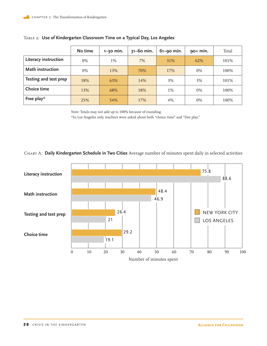|                         | No time | $1-30$ min. | $31-60$ min. | $61 - 90$ min. | $90+ min.$ | Total |
|-------------------------|---------|-------------|--------------|----------------|------------|-------|
| Literacy instruction    | 0%      | 1%          | 7%           | 31%            | 62%        | 101%  |
| <b>Math instruction</b> | 0%      | 13%         | 70%          | 17%            | 0%         | 100%  |
| Testing and test prep   | 18%     | 63%         | 14%          | 3%             | 3%         | 101%  |
| <b>Choice time</b>      | 13%     | 68%         | 18%          | 1%             | 0%         | 100%  |
| Free play*              | 25%     | 54%         | 17%          | 4%             | $0\%$      | 100%  |

#### *Table 2:* **Use of Kindergarten Classroom Time on a Typical Day, Los Angeles**

Note: Totals may not add up to 100% because of rounding.

\*In Los Angeles only, teachers were asked about both "choice time" and "free play."

*Chart A:* **Daily Kindergarten Schedule in Two Cities** Average number of minutes spent daily in selected activities

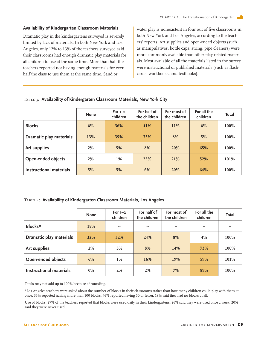### **Availability of Kindergarten Classroom Materials**

Dramatic play in the kindergartens surveyed is severely limited by lack of materials. In both New York and Los Angeles, only 12% to 13% of the teachers surveyed said their classrooms had enough dramatic play materials for all children to use at the same time. More than half the teachers reported not having enough materials for even half the class to use them at the same time. Sand or

water play is nonexistent in four out of five classrooms in both New York and Los Angeles, according to the teachers' reports. Art supplies and open-ended objects (such as manipulatives, bottle caps, string, pipe cleaners) were more commonly available than other play-related materials. Most available of all the materials listed in the survey were instructional or published materials (such as flashcards, workbooks, and textbooks).

|                                | <b>None</b> | For $1-2$<br>children | For half of<br>the children | For most of<br>the children | For all the<br>children | Total |
|--------------------------------|-------------|-----------------------|-----------------------------|-----------------------------|-------------------------|-------|
| <b>Blocks</b>                  | 6%          | 36%                   | 41%                         | 11%                         | 6%                      | 100%  |
| Dramatic play materials        | 13%         | 39%                   | 35%                         | 8%                          | 5%                      | 100%  |
| Art supplies                   | 2%          | 5%                    | 8%                          | 20%                         | 65%                     | 100%  |
| Open-ended objects             | 2%          | 1%                    | 25%                         | 21%                         | 52%                     | 101%  |
| <b>Instructional materials</b> | 5%          | 5%                    | 6%                          | 20%                         | 64%                     | 100%  |

### *Table 3:* **Availability of Kindergarten Classroom Materials, New York City**

### *Table 4:* **Availability of Kindergarten Classroom Materials, Los Angeles**

|                         | <b>None</b> | For $1-2$<br>children | For half of<br>the children | For most of<br>the children | For all the<br>children | Total          |
|-------------------------|-------------|-----------------------|-----------------------------|-----------------------------|-------------------------|----------------|
| Blocks*                 | 18%         | $- -$                 | $\overline{\phantom{a}}$    | --                          | $\sim$                  | $\overline{a}$ |
| Dramatic play materials | 32%         | 32%                   | 24%                         | 8%                          | 4%                      | 100%           |
| Art supplies            | 2%          | 3%                    | 8%                          | 14%                         | 73%                     | 100%           |
| Open-ended objects      | 6%          | 1%                    | 16%                         | 19%                         | 59%                     | 101%           |
| Instructional materials | $0\%$       | 2%                    | 2%                          | 7%                          | 89%                     | 100%           |

Totals may not add up to 100% because of rounding.

\*Los Angeles teachers were asked about the number of blocks in their classrooms rather than how many children could play with them at once. 35% reported having more than 100 blocks. 46% reported having 50 or fewer. 18% said they had no blocks at all.

Use of blocks: 27% of the teachers reported that blocks were used daily in their kindergartens; 26% said they were used once a week; 20% said they were never used.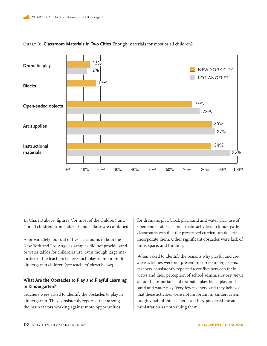

*Chart B:* **Classroom Materials in Two Cities** Enough materials for most or all children?

In Chart B above, figures "for most of the children" and "for all children" from Tables 3 and 4 above are combined.

Approximately four out of five classrooms in both the New York and Los Angeles samples did not provide sand or water tables for children's use, even though large majorities of the teachers believe such play is important for kindergarten children (see teachers' views below).

### **What Are the Obstacles to Play and Playful Learning in Kindergarten?**

Teachers were asked to identify the obstacles to play in kindergarten. They consistently reported that among the main factors working against more opportunities

for dramatic play, block play, sand and water play, use of open-ended objects, and artistic activities in kindergarten classrooms was that the prescribed curriculum doesn't incorporate them. Other significant obstacles were lack of time, space, and funding.

When asked to identify the reasons why playful and creative activities were not present in some kindergartens, teachers consistently reported a conflict between their views and their perception of school administrators' views about the importance of dramatic play, block play, and sand and water play. Very few teachers said they believed that these activities were not important in kindergarten; roughly half of the teachers said they perceived the administration as not valuing them.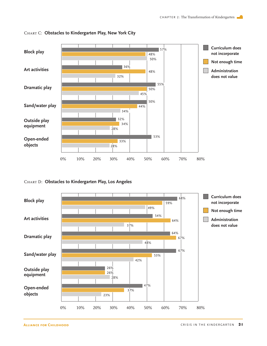

### *Chart C:* **Obstacles to Kindergarten Play, New York City**

*Chart D:* **Obstacles to Kindergarten Play, Los Angeles**

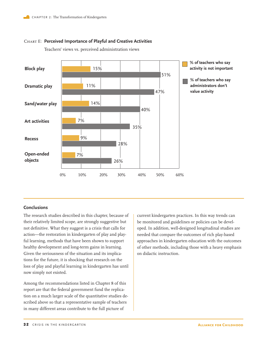### *Chart E:* **Perceived Importance of Playful and Creative Activities**

Teachers' views vs. perceived administration views



### **Conclusions**

The research studies described in this chapter, because of their relatively limited scope, are strongly suggestive but not definitive. What they suggest is a crisis that calls for action—the restoration in kindergarten of play and playful learning, methods that have been shown to support healthy development and long-term gains in learning. Given the seriousness of the situation and its implications for the future, it is shocking that research on the loss of play and playful learning in kindergarten has until now simply not existed.

Among the recommendations listed in Chapter 8 of this report are that the federal government fund the replication on a much larger scale of the quantitative studies described above so that a representative sample of teachers in many different areas contribute to the full picture of

current kindergarten practices. In this way trends can be monitored and guidelines or policies can be developed. In addition, well-designed longitudinal studies are needed that compare the outcomes of rich play-based approaches in kindergarten education with the outcomes of other methods, including those with a heavy emphasis on didactic instruction.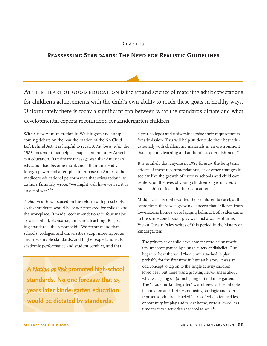#### CHAPTER 3

### **Reassessing Standards: The Need for Realistic Guidelines**

*At the heart of good education* is the art and science of matching adult expectations for children's achievements with the child's own ability to reach these goals in healthy ways. Unfortunately there is today a significant gap between what the standards dictate and what developmental experts recommend for kindergarten children.

With a new Administration in Washington and an upcoming debate on the reauthorization of the No Child Left Behind Act, it is helpful to recall *A Nation at Risk*, the 1983 document that helped shape contemporary American education. Its primary message was that American education had become moribund. "If an unfriendly foreign power had attempted to impose on America the mediocre educational performance that exists today," its authors famously wrote, "we might well have viewed it as an act of war." 16

*A Nation at Risk* focused on the reform of high schools so that students would be better prepared for college and the workplace. It made recommendations in four major areas: content, standards, time, and teaching. Regarding standards, the report said: "We recommend that schools, colleges, and universities adopt more rigorous and measurable standards, and higher expectations, for academic performance and student conduct, and that

*A Nation at Risk* **promoted high-school standards. No one foresaw that 25 years later kindergarten education would be dictated by standards.**

4-year colleges and universities raise their requirements for admission. This will help students do their best educationally with challenging materials in an environment that supports learning and authentic accomplishment."

It is unlikely that anyone in 1983 foresaw the long-term effects of these recommendations, or of other changes in society like the growth of nursery schools and child care centers, on the lives of young children 25 years later: a radical shift of focus in their education.

Middle-class parents wanted their children to excel; at the same time, there was growing concern that children from low-income homes were lagging behind. Both sides came to the same conclusion: play was just a waste of time. Vivian Gussin Paley writes of this period in the history of kindergarten:

The principles of child development were being rewritten, unaccompanied by a huge outcry of disbelief. One began to hear the word "boredom" attached to play, probably for the first time in human history. It was an odd concept to tag on to the single activity children loved best, but there was a growing nervousness about what was going on (or not going on) in kindergarten. The "academic kindergarten" was offered as the antidote to boredom and, further confusing our logic and commonsense, children labeled "at risk," who often had less opportunity for play and talk at home, were allowed less time for these activities at school as well. $^{17}$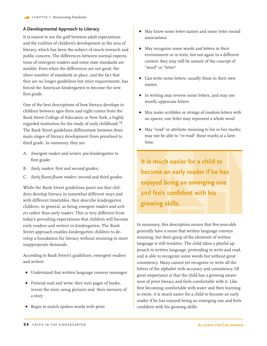### **A Developmental Approach to Literacy**

It is easiest to see the gulf between adult expectations and the realities of children's development in the area of literacy, which has been the subject of much research and public concern. The differences between normal expectations of emergent readers and some state standards are notable. Even when the differences are not great, the sheer number of standards in place, and the fact that they are no longer guidelines but strict requirements, has forced the American kindergarten to become the new first grade.

One of the best descriptions of how literacy develops in children between ages three and eight comes from the Bank Street College of Education in New York, a highly regarded institution for the study of early childhood.<sup>18</sup> The Bank Street guidelines differentiate between three main stages of literacy development from preschool to third grade. In summary, they are:

- A. *Emergent readers and writers:* pre-kindergarten to first grade;
- B. *Early readers:* first and second grades;
- C. *Early fluent/fluent readers:* second and third grades.

While the Bank Street guidelines point out that children develop literacy in somewhat different ways and with different timetables, they describe kindergarten children, in general, as being *emergent readers and writers* rather than *early readers*. This is very different from today's prevailing expectations that children will become early readers and writers in kindergarten. The Bank Street approach enables kindergarten children to develop a foundation for literacy without straining to meet inappropriate demands.

According to Bank Street's guidelines, emergent readers and writers

- Understand that written language conveys messages
- Pretend read and write: they turn pages of books, invent the story using pictures and their memory of a story
- Begin to match spoken words with print
- May know some letter names and some letter sound associations
- May recognize some words and letters in their environment or in texts; but not again in a different context; they may still be unsure of the concept of "word" or "letter"
- Can write some letters, usually those in their own names
- In writing may reverse some letters, and may use mostly uppercase letters
- May make scribbles or strings of random letters with no spaces; one letter may represent a whole word
- May "read" or attribute meaning to his or her marks; may not be able to "re-read" these marks at a later time.

**It is much easier for a child to become an early reader if he has enjoyed being an emerging one and feels confident with his growing skills.**

In summary, this description means that five-year-olds generally have a sense that written language conveys meaning, but their grasp of the elements of written language is still tentative. The child takes a playful approach to written language, pretending to write and read, and is able to recognize some words but without great consistency. Many cannot yet recognize or write all the letters of the alphabet with accuracy and consistency. Of great importance is that the child has a growing awareness of print literacy and feels comfortable with it. Like first becoming comfortable with water and then learning to swim, it is much easier for a child to become an early reader if he has enjoyed being an emerging one and feels confident with his growing skills.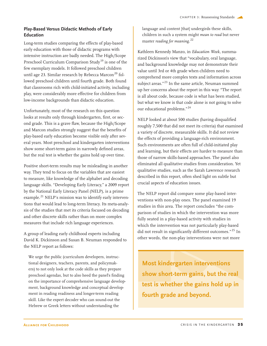### **Play-Based Versus Didactic Methods of Early Education**

Long-term studies comparing the effects of play-based early education with those of didactic programs with intensive instruction are badly needed. The High/Scope Preschool Curriculum Comparison Study 19 is one of the few exemplary models. It followed preschool children until age 23. Similar research by Rebecca Marcon<sup>20</sup> followed preschool children until fourth grade. Both found that classrooms rich with child-initiated activity, including play, were considerably more effective for children from low-income backgrounds than didactic education.

Unfortunately, most of the research on this question looks at results only through kindergarten, first, or second grade. This is a grave flaw, because the High/Scope and Marcon studies strongly suggest that the benefits of play-based early education become visible only after several years. Most preschool and kindergarten interventions show some short-term gains in narrowly defined areas, but the real test is whether the gains hold up over time.

Positive short-term results may be misleading in another way. They tend to focus on the variables that are easiest to measure, like knowledge of the alphabet and decoding language skills. "Developing Early Literacy," a 2009 report by the National Early Literacy Panel (NELP), is a prime example.<sup>21</sup> NELP's mission was to identify early interventions that would lead to long-term literacy. Its meta-analysis of the studies that met its criteria focused on decoding and other discrete skills rather than on more complex measures that include rich language experiences.

A group of leading early childhood experts including David K. Dickinson and Susan B. Neuman responded to the NELP report as follows:

We urge the public (curriculum developers, instructional designers, teachers, parents, and policymakers) to not only look at the code skills as they prepare preschool agendas, but to also heed the panel's finding on the importance of comprehensive language development, background knowledge and conceptual development in reading readiness and longer-term reading skill. Like the expert decoder who can sound-out the Hebrew or Greek letters without understanding the

language and content [that] undergirds these skills, children in such a system might *mean to read* but never master *reading for meaning.* 22

Kathleen Kennedy Manzo, in *Education Week*, summarized Dickinson's view that "vocabulary, oral language, and background knowledge may not demonstrate their value until 3rd or 4th grade when children need to comprehend more complex texts and information across subject areas."<sup>23</sup> In the same article, Neuman summed up her concerns about the report in this way: "The report is all about code, because code is what has been studied, but what we know is that code alone is not going to solve our educational problems." 24

NELP looked at about 500 studies (having disqualified roughly 7,500 that did not meet its criteria) that examined a variety of discrete, measurable skills. It did not review the effects of providing a language-rich environment. Such environments are often full of child-initiated play and learning, but their effects are harder to measure than those of narrow skills-based approaches. The panel also eliminated all qualitative studies from consideration. Yet qualitative studies, such as the Sarah Lawrence research described in this report, often shed light on subtle but crucial aspects of education issues.

The NELP report did compare some play-based interventions with non-play ones. The panel examined 19 studies in this area. The report concludes "the comparison of studies in which the intervention was more fully seated in a play-based activity with studies in which the intervention was not particularly play-based did not result in significantly different outcomes." 25 In other words, the non-play interventions were not more

**Most kindergarten interventions show short-term gains, but the real test is whether the gains hold up in fourth grade and beyond.**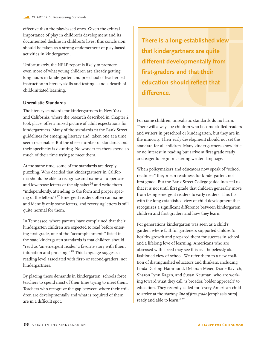effective than the play-based ones. Given the critical importance of play in children's development and its documented decline in children's lives, this conclusion should be taken as a strong endorsement of play-based activities in kindergarten.

Unfortunately, the NELP report is likely to promote even more of what young children are already getting: long hours in kindergarten and preschool of teacher-led instruction in literacy skills and testing—and a dearth of child-initiated learning.

#### **Unrealistic Standards**

The literacy standards for kindergartners in New York and California, where the research described in Chapter 2 took place, offer a mixed picture of adult expectations for kindergartners. Many of the standards fit the Bank Street guidelines for emerging literacy and, taken one at a time, seem reasonable. But the sheer number of standards and their specificity is daunting. No wonder teachers spend so much of their time trying to meet them.

At the same time, some of the standards are deeply puzzling. Who decided that kindergartners in California should be able to recognize and name all uppercase and lowercase letters of the alphabet<sup>26</sup> and write them "independently, attending to the form and proper spacing of the letters"?<sup>27</sup> Emergent readers often can name and identify only some letters, and reversing letters is still quite normal for them.

In Tennessee, where parents have complained that their kindergarten children are expected to read before entering first grade, one of the "accomplishments" listed in the state kindergarten standards is that children should "read as 'an emergent reader' a favorite story with fluent intonation and phrasing."<sup>28</sup> This language suggests a reading level associated with first- or second-graders, not kindergartners.

By placing these demands in kindergarten, schools force teachers to spend most of their time trying to meet them. Teachers who recognize the gap between where their children are developmentally and what is required of them are in a difficult spot.

**There is a long-established view that kindergartners are quite different developmentally from first-graders and that their education should reflect that difference.**

For some children, unrealistic standards do no harm. There will always be children who become skilled readers and writers in preschool or kindergarten, but they are in the minority. Their early development should not set the standard for all children. Many kindergartners show little or no interest in reading but arrive at first grade ready and eager to begin mastering written language.

When policymakers and educators now speak of "school readiness" they mean readiness for kindergarten, not first grade. But the Bank Street College guidelines tell us that it is not until first grade that children generally move from being emergent readers to early readers. This fits with the long-established view of child development that recognizes a significant difference between kindergarten children and first-graders and how they learn.

For generations kindergarten was seen as a child's garden, where faithful gardeners supported children's healthy growth and prepared them for success in school and a lifelong love of learning. Americans who are obsessed with speed may see this as a hopelessly oldfashioned view of school. We refer them to a new coalition of distinguished educators and thinkers, including Linda Darling-Hammond, Deborah Meier, Diane Ravitch, Sharon Lynn Kagan, and Susan Neuman, who are working toward what they call "a broader, bolder approach" to education. They recently called for "every American child to arrive at the *starting line of first grade* [emphasis ours] ready and able to learn."<sup>29</sup>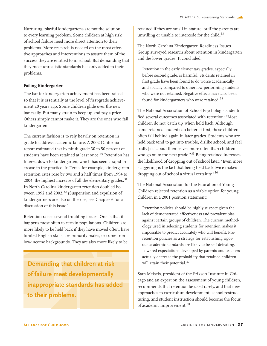Nurturing, playful kindergartens are not the solution to every learning problem. Some children at high risk of school failure need more direct attention to their problems. More research is needed on the most effective approaches and interventions to assure them of the success they are entitled to in school. But demanding that they meet unrealistic standards has only added to their problems.

## **Failing Kindergarten**

The bar for kindergarten achievement has been raised so that it is essentially at the level of first-grade achievement 20 years ago. Some children glide over the new bar easily. But many strain to keep up and pay a price. Others simply cannot make it. They are the ones who fail kindergarten.

The current fashion is to rely heavily on retention in grade to address academic failure. A 2002 California report estimated that by ninth grade 30 to 50 percent of students have been retained at least once.<sup>30</sup> Retention has filtered down to kindergarten, which has seen a rapid increase in the practice. In Texas, for example, kindergarten retention rates rose by two and a half times from 1994 to 2004, the highest increase of all the elementary grades.<sup>31</sup> In North Carolina kindergarten retention doubled between 1992 and 2002.<sup>32</sup> (Suspension and expulsion of kindergartners are also on the rise; see Chapter 6 for a discussion of this issue.)

Retention raises several troubling issues. One is that it happens most often to certain populations. Children are more likely to be held back if they have moved often, have limited English skills, are minority males, or come from low-income backgrounds. They are also more likely to be

**Demanding that children at risk of failure meet developmentally inappropriate standards has added to their problems.**

retained if they are small in stature, or if the parents are unwilling or unable to intercede for the child.<sup>33</sup>

The North Carolina Kindergarten Readiness Issues Group surveyed research about retention in kindergarten and the lower grades. It concluded:

Retention in the early elementary grades, especially before second grade, is harmful. Students retained in first grade have been found to do worse academically and socially compared to other low-performing students who were not retained. Negative effects have also been found for kindergartners who were retained.<sup>34</sup>

The National Association of School Psychologists identified several outcomes associated with retention: "Most children do not 'catch up' when held back. Although some retained students do better at first, these children often fall behind again in later grades. Students who are held back tend to get into trouble, dislike school, and feel badly [sic] about themselves more often than children who go on to the next grade."<sup>35</sup> Being retained increases the likelihood of dropping out of school later. "Even more staggering is the fact that being held back twice makes dropping out of school a virtual certainty." 36

The National Association for the Education of Young Children rejected retention as a viable option for young children in a 2001 position statement:

Retention policies should be highly suspect given the lack of demonstrated effectiveness and prevalent bias against certain groups of children. The current methodology used in selecting students for retention makes it impossible to predict accurately who will benefit. Proretention policies as a strategy for establishing rigorous academic standards are likely to be self-defeating. Lowered expectations developed by parents and teachers actually decrease the probability that retained children will attain their potential.<sup>37</sup>

Sam Meisels, president of the Erikson Institute in Chicago and an expert on the assessment of young children, recommends that retention be used rarely, and that new approaches to curriculum development, school restructuring, and student instruction should become the focus of academic improvement. 38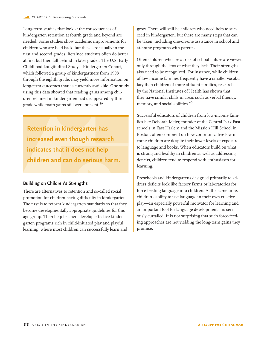Long-term studies that look at the consequences of kindergarten retention at fourth grade and beyond are needed. Some studies show academic improvements for children who are held back, but these are usually in the first and second grades. Retained students often do better at first but then fall behind in later grades. The U.S. Early Childhood Longitudinal Study—Kindergarten Cohort, which followed a group of kindergartners from 1998 through the eighth grade, may yield more information on long-term outcomes than is currently available. One study using this data showed that reading gains among children retained in kindergarten had disappeared by third grade while math gains still were present.<sup>39</sup>

**Retention in kindergarten has increased even though research indicates that it does not help children and can do serious harm.**

### **Building on Children's Strengths**

There are alternatives to retention and so-called social promotion for children having difficulty in kindergarten. The first is to reform kindergarten standards so that they become developmentally appropriate guidelines for this age group. Then help teachers develop effective kindergarten programs rich in child-initiated play and playful learning, where most children can successfully learn and

grow. There will still be children who need help to succeed in kindergarten, but there are many steps that can be taken, including one-on-one assistance in school and at-home programs with parents.

Often children who are at risk of school failure are viewed only through the lens of what they lack. Their strengths also need to be recognized. For instance, while children of low-income families frequently have a smaller vocabulary than children of more affluent families, research by the National Institutes of Health has shown that they have similar skills in areas such as verbal fluency, memory, and social abilities. 40

Successful educators of children from low-income families like Deborah Meier, founder of the Central Park East schools in East Harlem and the Mission Hill School in Boston, often comment on how communicative low-income children are despite their lower levels of exposure to language and books. When educators build on what is strong and healthy in children as well as addressing deficits, children tend to respond with enthusiasm for learning.

Preschools and kindergartens designed primarily to address deficits look like factory farms or laboratories for force-feeding language into children. At the same time, children's ability to use language in their own creative play—an especially powerful motivator for learning and an important tool for language development—is seriously curtailed. It is not surprising that such force-feeding approaches are not yielding the long-term gains they promise.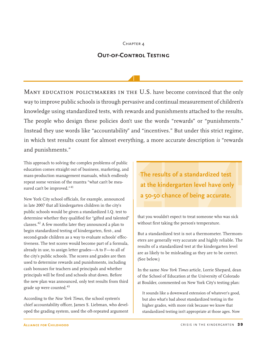Chapter 4

# **Out-of-Control Testing**

*Many education policymakers in the U.S*. have become convinced that the only way to improve public schools is through pervasive and continual measurement of children's knowledge using standardized tests, with rewards and punishments attached to the results. The people who design these policies don't use the words "rewards" or "punishments." Instead they use words like "accountability" and "incentives." But under this strict regime, in which test results count for almost everything, a more accurate description *is* "rewards and punishments."

This approach to solving the complex problems of public education comes straight out of business, marketing, and mass-production management manuals, which endlessly repeat some version of the mantra "what can't be measured can't be improved."<sup>41</sup>

New York City school officials, for example, announced in late 2007 that all kindergarten children in the city's public schools would be given a standardized I.Q. test to determine whether they qualified for "gifted and talented" classes. 42 A few months later they announced a plan to begin standardized testing of kindergarten, first-, and second-grade children as a way to evaluate schools' effectiveness. The test scores would become part of a formula, already in use, to assign letter grades—A to F—to all of the city's public schools. The scores and grades are then used to determine rewards and punishments, including cash bonuses for teachers and principals and whether principals will be fired and schools shut down. Before the new plan was announced, only test results from third grade up were counted. 43

According to the *New York Times*, the school system's chief accountability officer, James S. Liebman, who developed the grading system, used the oft-repeated argument **The results of a standardized test at the kindergarten level have only a 50-50 chance of being accurate.**

that you wouldn't expect to treat someone who was sick without first taking the person's temperature.

But a standardized test is not a thermometer. Thermometers are generally very accurate and highly reliable. The results of a standardized test at the kindergarten level are as likely to be misleading as they are to be correct. (See below.)

In the same *New York Times* article, Lorrie Shepard, dean of the School of Education at the University of Colorado at Boulder, commented on New York City's testing plan:

It sounds like a downward extension of whatever's good, but also what's bad about standardized testing in the higher grades, with more risk because we know that standardized testing isn't appropriate at those ages. Now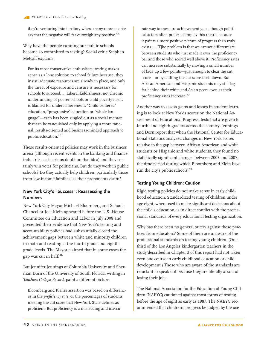they're venturing into territory where many more people say that the negative will far outweigh any positive.<sup>44</sup>

Why have the people running our public schools become so committed to testing? Social critic Stephen Metcalf explains:

For its most conservative enthusiasts, testing makes sense as a lone solution to school failure because, they insist, adequate resources are already in place, and only the threat of exposure and censure is necessary for schools to succeed. ... Liberal faddishness, not chronic underfunding of poorer schools or child poverty itself, is blamed for underachievement: "Child-centered" education, "progressive" education or "whole language"—each has been singled out as a social menace that can be vanquished only by applying a more rational, results-oriented and business-minded approach to public education.<sup>45</sup>

These results-oriented policies may work in the business arena (although recent events in the banking and finance industries cast serious doubt on that idea) and they certainly win votes for politicians. But do they work in public schools? Do they actually help children, particularly those from low-income families, as their proponents claim?

# **New York City's "Success": Reassessing the Numbers**

New York City Mayor Michael Bloomberg and Schools Chancellor Joel Klein appeared before the U.S. House Committee on Education and Labor in July 2008 and presented their evidence that New York's testing and accountability policies had substantially closed the achievement gaps between white and minority children in math and reading at the fourth-grade and eighthgrade levels. The Mayor claimed that in some cases the gap was cut in half.<sup>46</sup>

But Jennifer Jennings of Columbia University and Sherman Dorn of the University of South Florida, writing in *Teachers College Record*, paint a different picture:

Bloomberg and Klein's assertion was based on differences in the *proficiency rate*, or the percentages of students meeting the cut score that New York State defines as proficient. But proficiency is a misleading and inaccurate way to measure achievement gaps, though political actors often prefer to employ this metric because it paints a more positive picture of progress than truly exists. ... [T]he problem is that we cannot differentiate between students who just made it over the proficiency bar and those who scored well above it. Proficiency rates can increase substantially by moving a small number of kids up a few points—just enough to clear the cut score—or by shifting the cut score itself down. But African American and Hispanic students may still lag far behind their white and Asian peers even as their proficiency rates increase.<sup>47</sup>

Another way to assess gains and losses in student learning is to look at New York's scores on the National Assessment of Educational Progress, tests that are given to fourth- and eighth-graders across the country. Jennings and Dorn report that when the National Center for Educational Statistics analyzed changes in New York scores relative to the gap between African American and white students or Hispanic and white students, they found no statistically significant changes between 2003 and 2007, the time period during which Bloomberg and Klein have run the city's public schools. 48

# **Testing Young Children: Caution**

Rigid testing policies do not make sense in early childhood education. Standardized testing of children under age eight, when used to make significant decisions about the child's education, is in direct conflict with the professional standards of every educational testing organization.

Why has there been no general outcry against these practices from educators? Some of them are unaware of the professional standards on testing young children. (Onethird of the Los Angeles kindergarten teachers in the study described in Chapter 2 of this report had not taken even one course in early childhood education or child development.) Those who are aware of the standards are reluctant to speak out because they are literally afraid of losing their jobs.

The National Association for the Education of Young Children (NAEYC) cautioned against most forms of testing before the age of eight as early as 1987. The NAEYC recommended that children's progress be judged by the use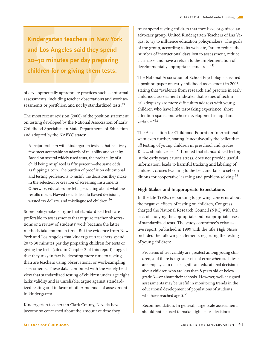**Kindergarten teachers in New York and Los Angeles said they spend 20–30 minutes per day preparing children for or giving them tests.**

of developmentally appropriate practices such as informal assessments, including teacher observations and work assessments or portfolios, and not by standardized tests.<sup>49</sup>

The most recent revision (2000) of the position statement on testing developed by the National Association of Early Childhood Specialists in State Departments of Education and adopted by the NAEYC states:

A major problem with kindergarten tests is that relatively few meet acceptable standards of reliability and validity. Based on several widely used tests, the probability of a child being misplaced is fifty percent—the same odds as flipping a coin. The burden of proof is on educational and testing professions to justify the decisions they make in the selection or creation of screening instruments. Otherwise, educators are left speculating about what the results mean. Flawed results lead to flawed decisions, wasted tax dollars, and misdiagnosed children.<sup>50</sup>

Some policymakers argue that standardized tests are preferable to assessments that require teacher observations or a review of students' work because the latter methods take too much time. But the evidence from New York and Los Angeles that kindergarten teachers spend 20 to 30 minutes per day preparing children for tests or giving the tests (cited in Chapter 2 of this report) suggests that they may in fact be devoting more time to testing than are teachers using observational or work-sampling assessments. These data, combined with the widely held view that standardized testing of children under age eight lacks validity and is unreliable, argue against standardized testing and in favor of other methods of assessment in kindergarten.

Kindergarten teachers in Clark County, Nevada have become so concerned about the amount of time they

must spend testing children that they have organized an advocacy group, United Kindergarten Teachers of Las Vegas, to try to influence education policymakers. The goals of the group, according to its web site, "are to reduce the number of instructional days lost to assessment, reduce class size, and have a return to the implementation of developmentally appropriate standards."<sup>51</sup>

The National Association of School Psychologists issued a position paper on early childhood assessment in 2005, stating that "evidence from research and practice in early childhood assessment indicates that issues of technical adequacy are more difficult to address with young children who have little test-taking experience, short attention spans, and whose development is rapid and variable<sup>"52</sup>

The Association for Childhood Education International went even further, stating "unequivocally the belief that *all* testing of young children in preschool and grades K-2 ... should cease."<sup>53</sup> It noted that standardized testing in the early years causes stress, does not provide useful information, leads to harmful tracking and labeling of children, causes teaching to the test, and fails to set conditions for cooperative learning and problem-solving.<sup>54</sup>

## **High Stakes and Inappropriate Expectations**

In the late 1990s, responding to growing concerns about the negative effects of testing on children, Congress charged the National Research Council (NRC) with the task of studying the appropriate and inappropriate uses of standardized tests. The study committee's exhaustive report, published in 1999 with the title *High Stakes*, included the following statements regarding the testing of young children:

Problems of test validity are greatest among young children, and there is a greater risk of error when such tests are employed to make significant educational decisions about children who are less than 8 years old or below grade 3—or about their schools. However, well-designed assessments may be useful in monitoring trends in the educational development of populations of students who have reached age 5.55

Recommendation: In general, large-scale assessments should not be used to make high-stakes decisions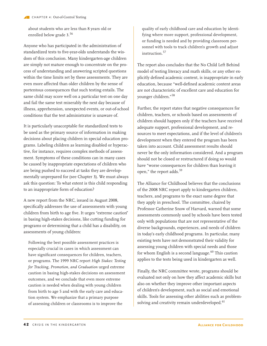about students who are less than 8 years old or enrolled below grade 3.<sup>56</sup>

Anyone who has participated in the administration of standardized tests to five-year-olds understands the wisdom of this conclusion. Many kindergarten-age children are simply not mature enough to concentrate on the process of understanding and answering scripted questions within the time limits set by these assessments. They are even more affected than older children by the sense of portentous consequences that such testing entails. The same child may score well on a particular test on one day and fail the same test miserably the next day because of illness, apprehension, unexpected events, or out-of-school conditions that the test administrator is unaware of.

It is particularly unacceptable for standardized tests to be used as the primary source of information in making decisions about placing children in special education programs. Labeling children as learning disabled or hyperactive, for instance, requires complex methods of assessment. Symptoms of these conditions can in many cases be caused by inappropriate expectations of children who are being pushed to succeed at tasks they are developmentally unprepared for (see Chapter 3). We must always ask this question: To what extent is this child responding to an inappropriate form of education?

A new report from the NRC, issued in August 2008, specifically addresses the use of assessments with young children from birth to age five. It urges "extreme caution" in basing high-stakes decisions, like cutting funding for programs or determining that a child has a disability, on assessments of young children:

Following the best possible assessment practices is especially crucial in cases in which assessment can have significant consequences for children, teachers, or programs. The 1999 NRC report *High Stakes: Testing for Tracking, Promotion, and Graduation* urged extreme caution in basing high-stakes decisions on assessment outcomes, and we conclude that even more extreme caution is needed when dealing with young children from birth to age 5 and with the early care and education system. We emphasize that a primary purpose of assessing children or classrooms is to improve the

quality of early childhood care and education by identifying where more support, professional development, or funding is needed and by providing classroom personnel with tools to track children's growth and adjust instruction.<sup>57</sup>

The report also concludes that the No Child Left Behind model of testing literacy and math skills, or any other explicitly defined academic content, is inappropriate in early education, because "well-defined academic content areas are not characteristic of excellent care and education for younger children." 58

Further, the report states that negative consequences for children, teachers, or schools based on assessments of children should happen only if the teachers have received adequate support, professional development, and resources to meet expectations, and if the level of children's development when they entered the program has been taken into account. Child assessment results should never be the only information considered. And a program should not be closed or restructured if doing so would have "worse consequences for children than leaving it open," the report adds. 59

The Alliance for Childhood believes that the conclusions of the 2008 NRC report apply to kindergarten children, teachers, and programs to the exact same degree that they apply in preschool. The committee, chaired by Professor Catherine Snow of Harvard, warned that some assessments commonly used by schools have been tested only with populations that are not representative of the diverse backgrounds, experiences, and needs of children in today's early childhood programs. In particular, many existing tests have not demonstrated their validity for assessing young children with special needs and those for whom English is a second language. 60 This caution applies to the tests being used in kindergarten as well.

Finally, the NRC committee wrote, programs should be evaluated not only on how they affect academic skills but also on whether they improve other important aspects of children's development, such as social and emotional skills. Tools for assessing other abilities such as problemsolving and creativity remain underdeveloped.<sup>61</sup>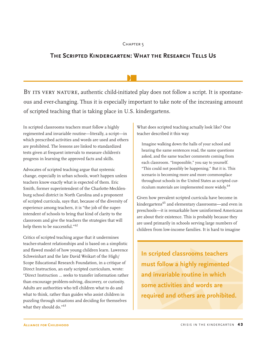#### Chapter 5

# **The Scripted Kindergarten: What the Research Tells Us**

*By its very nature,* authentic child-initiated play does not follow a script. It is spontaneous and ever-changing. Thus it is especially important to take note of the increasing amount of scripted teaching that is taking place in U.S. kindergartens.

In scripted classrooms teachers must follow a highly regimented and invariable routine—literally, a script—in which prescribed activities and words are used and others are prohibited. The lessons are linked to standardized tests given at frequent intervals to measure children's progress in learning the approved facts and skills.

Advocates of scripted teaching argue that systemic change, especially in urban schools, won't happen unless teachers know exactly what is expected of them. Eric Smith, former superintendent of the Charlotte-Mecklenburg school district in North Carolina and a proponent of scripted curricula, says that, because of the diversity of experience among teachers, it is "the job of the superintendent of schools to bring that kind of clarity to the classroom and give the teachers the strategies that will help them to be successful."<sup>62</sup>

Critics of scripted teaching argue that it undermines teacher-student relationships and is based on a simplistic and flawed model of how young children learn. Lawrence Schweinhart and the late David Weikart of the High/ Scope Educational Research Foundation, in a critique of Direct Instruction, an early scripted curriculum, wrote: "Direct Instruction ... seeks to transfer information rather than encourage problem-solving, discovery, or curiosity. Adults are authorities who tell children what to do and what to think, rather than guides who assist children in puzzling through situations and deciding for themselves what they should do."<sup>63</sup>

What does scripted teaching actually look like? One teacher described it this way:

Imagine walking down the halls of your school and hearing the same sentences read, the same questions asked, and the same teacher comments coming from each classroom. "Impossible," you say to yourself. "This could not possibly be happening." But it is. This scenario is becoming more and more commonplace throughout schools in the United States as scripted curriculum materials are implemented more widely.<sup>64</sup>

Given how prevalent scripted curricula have become in kindergartens<sup>65</sup> and elementary classrooms—and even in preschools—it is remarkable how uninformed Americans are about their existence. This is probably because they are used primarily in schools serving large numbers of children from low-income families. It is hard to imagine

**In scripted classrooms teachers must follow a highly regimented and invariable routine in which some activities and words are required and others are prohibited.**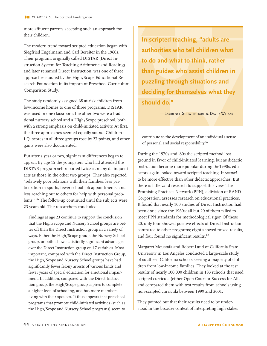more affluent parents accepting such an approach for their children.

The modern trend toward scripted education began with Siegfried Engelmann and Carl Bereiter in the 1960s. Their program, originally called DISTAR (Direct Instruction System for Teaching Arithmetic and Reading) and later renamed Direct Instruction, was one of three approaches studied by the High/Scope Educational Research Foundation in its important Preschool Curriculum Comparison Study.

The study randomly assigned 68 at-risk children from low-income homes to one of three programs. DISTAR was used in one classroom; the other two were a traditional nursery school and a High/Scope preschool, both with a strong emphasis on child-initiated activity. At first, the three approaches seemed equally sound. Children's I.Q. scores in all three groups rose by 27 points, and other gains were also documented.

But after a year or two, significant differences began to appear. By age 15 the youngsters who had attended the DISTAR program self-reported twice as many delinquent acts as those in the other two groups. They also reported "relatively poor relations with their families, less participation in sports, fewer school job appointments, and less reaching out to others for help with personal problems." 66 The follow-up continued until the subjects were 23 years old. The researchers concluded:

Findings at age 23 continue to support the conclusion that the High/Scope and Nursery School groups are better off than the Direct Instruction group in a variety of ways. Either the High/Scope group, the Nursery School group, or both, show statistically significant advantages over the Direct Instruction group on 17 variables. Most important, compared with the Direct Instruction Group, the High/Scope and Nursery School groups have had significantly fewer felony arrests of various kinds and fewer years of special education for emotional impairment. In addition, compared with the Direct Instruction group, the High/Scope group aspires to complete a higher level of schooling, and has more members living with their spouses. It thus appears that preschool programs that promote child-initiated activities (such as the High/Scope and Nursery School programs) seem to

**In scripted teaching, "adults are authorities who tell children what to do and what to think, rather than guides who assist children in puzzling through situations and deciding for themselves what they should do."** 

**-LAWRENCE SCHWEINHART & DAVID WEIKART** 

contribute to the development of an individual's sense of personal and social responsibility.<sup>67</sup>

During the 1970s and '80s the scripted method lost ground in favor of child-initiated learning, but as didactic instruction became more popular during the1990s, educators again looked toward scripted teaching. It *seemed* to be more effective than other didactic approaches. But there is little valid research to support this view. The Promising Practices Network (PPN), a division of RAND Corporation, assesses research on educational practices. It found that nearly 100 studies of Direct Instruction had been done since the 1960s; all but 20 of them failed to meet PPN standards for methodological rigor. Of these 20, only four showed positive effects of Direct Instruction compared to other programs; eight showed mixed results, and four found no significant results. 68

Margaret Moustafa and Robert Land of California State University in Los Angeles conducted a large-scale study of southern California schools serving a majority of children from low-income families. They looked at the test results of nearly 100,000 children in 183 schools that used scripted curricula (either Open Court or Success for All) and compared them with test results from schools using non-scripted curricula between 1999 and 2001.

They pointed out that their results need to be understood in the broader context of interpreting high-stakes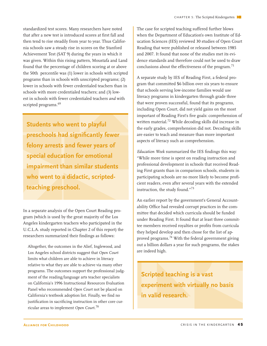standardized test scores. Many researchers have noted that after a new test is introduced scores at first fall and then tend to rise steadily from year to year. Thus California schools saw a steady rise in scores on the Stanford Achievement Test (SAT 9) during the years in which it was given. Within this rising pattern, Moustafa and Land found that the percentage of children scoring at or above the 50th percentile was (1) lower in schools with scripted programs than in schools with unscripted programs; (2) lower in schools with fewer credentialed teachers than in schools with more credentialed teachers; and (3) lowest in schools with fewer credentialed teachers *and* with scripted programs.<sup>69</sup>

**Students who went to playful preschools had significantly fewer felony arrests and fewer years of special education for emotional impairment than similar students who went to a didactic, scriptedteaching preschool.**

In a separate analysis of the Open Court Reading program (which is used by the great majority of the Los Angeles kindergarten teachers who participated in the U.C.L.A. study reported in Chapter 2 of this report) the researchers summarized their findings as follows:

Altogether, the outcomes in the Alief, Inglewood, and Los Angeles school districts suggest that *Open Court* limits what children are able to achieve in literacy relative to what they are able to achieve via many other programs. The outcomes support the professional judgment of the reading/language arts teacher specialists on California's 1996 Instructional Resources Evaluation Panel who recommended *Open Court* not be placed on California's textbook adoption list. Finally, we find no justification in sacrificing instruction in other core curricular areas to implement *Open Court*. 70

The case for scripted teaching suffered further blows when the Department of Education's own Institute of Education Sciences (IES) reviewed 30 studies of Open Court Reading that were published or released between 1985 and 2007. It found that none of the studies met its evidence standards and therefore could not be used to draw conclusions about the effectiveness of the program. $71$ 

A separate study by IES of Reading First, a federal program that committed \$6 billion over six years to ensure that schools serving low-income families would use literacy programs in kindergarten through grade three that were proven successful, found that its programs, including Open Court, did not yield gains on the most important of Reading First's five goals: comprehension of written material.<sup>72</sup> While decoding skills did increase in the early grades, comprehension did not. Decoding skills are easier to teach and measure than more important aspects of literacy such as comprehension.

*Education Week* summarized the IES findings this way: "While more time is spent on reading instruction and professional development in schools that received Reading First grants than in comparison schools, students in participating schools are no more likely to become proficient readers, even after several years with the extended instruction, the study found." 73

An earlier report by the government's General Accountability Office had revealed corrupt practices in the committee that decided which curricula should be funded under Reading First. It found that at least three committee members received royalties or profits from curricula they helped develop and then chose for the list of approved programs.<sup>74</sup> With the federal government giving out a billion dollars a year for such programs, the stakes are indeed high.

**Scripted teaching is a vast experiment with virtually no basis in valid research.**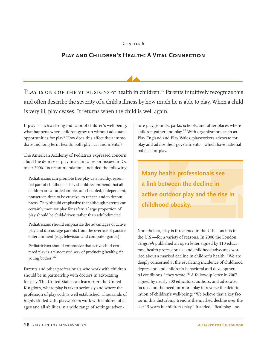## CHAPTER<sub>6</sub>

# **Play and Children's Health: A Vital Connection**

*Play is one of the vital signs* of health in children.75 Parents intuitively recognize this and often describe the severity of a child's illness by how much he is able to play. When a child is very ill, play ceases. It returns when the child is well again.

If play is such a strong indicator of children's well-being, what happens when children grow up without adequate opportunities for play? How does this affect their immediate and long-term health, both physical and mental?

The American Academy of Pediatrics expressed concern about the demise of play in a clinical report issued in October 2006. Its recommendations included the following:

Pediatricians can promote free play as a healthy, essential part of childhood. They should recommend that all children are afforded ample, unscheduled, independent, nonscreen time to be creative, to reflect, and to decompress. They should emphasize that although parents can certainly monitor play for safety, a large proportion of play should be child-driven rather than adult-directed.

Pediatricians should emphasize the advantages of active play and discourage parents from the overuse of passive entertainment (e.g., television and computer games).

Pediatricians should emphasize that active child-centered play is a time-tested way of producing healthy, fit young bodies.<sup>76</sup>

Parents and other professionals who work with children should be in partnership with doctors in advocating for play. The United States can learn from the United Kingdom, where play is taken seriously and where the profession of playwork is well established. Thousands of highly skilled U.K. playworkers work with children of all ages and all abilities in a wide range of settings: adven-

ture playgrounds, parks, schools, and other places where children gather and play.<sup>77</sup> With organizations such as Play England and Play Wales, playworkers advocate for play and advise their governments—which have national policies for play.

**Many health professionals see a link between the decline in active outdoor play and the rise in childhood obesity.**

Nonetheless, play is threatened in the U.K.—as it is in the U.S.—for a variety of reasons. In 2006 the London *Telegraph* published an open letter signed by 110 educators, health professionals, and childhood advocates worried about a marked decline in children's health. "We are deeply concerned at the escalating incidence of childhood depression and children's behavioral and developmental conditions," they wrote.<sup>78</sup> A follow-up letter in 2007, signed by nearly 300 educators, authors, and advocates, focused on the need for more play to reverse the deterioration of children's well-being: "We believe that a key factor in this disturbing trend is the marked decline over the last 15 years in children's play." It added, "Real play—so-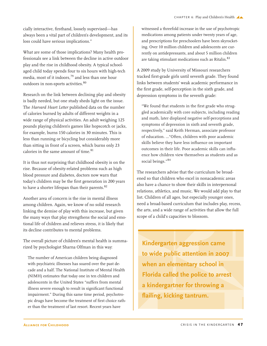cially interactive, firsthand, loosely supervised—has always been a vital part of children's development, and its loss could have serious implications."

What are some of those implications? Many health professionals see a link between the decline in active outdoor play and the rise in childhood obesity. A typical schoolaged child today spends four to six hours with high-tech media, most of it indoors,  $^{79}$  and less than one hour outdoors in non-sports activities.<sup>80</sup>

Research on the link between declining play and obesity is badly needed, but one study sheds light on the issue. The *Harvard Heart Letter* published data on the number of calories burned by adults of different weights in a wide range of physical activities. An adult weighing 125 pounds playing children's games like hopscotch or jacks, for example, burns 150 calories in 30 minutes. This is less than running or bicycling but considerably more than sitting in front of a screen, which burns only 23 calories in the same amount of time.<sup>81</sup>

It is thus not surprising that childhood obesity is on the rise. Because of obesity-related problems such as high blood pressure and diabetes, doctors now warn that today's children may be the first generation in 200 years to have a shorter lifespan than their parents.<sup>82</sup>

Another area of concern is the rise in mental illness among children. Again, we know of no solid research linking the demise of play with this increase, but given the many ways that play strengthens the social and emotional life of children and relieves stress, it is likely that its decline contributes to mental problems.

The overall picture of children's mental health is summarized by psychologist Sharna Olfman in this way:

The number of American children being diagnosed with psychiatric illnesses has soared over the past decade and a half. The National Institute of Mental Health (NIMH) estimates that today one in ten children and adolescents in the United States "suffers from mental illness severe enough to result in significant functional impairment." During this same time period, psychotropic drugs have become the treatment of first choice rather than the treatment of last resort. Recent years have

witnessed a threefold increase in the use of psychotropic medications among patients under twenty years of age, and prescriptions for preschoolers have been skyrocketing. Over 10 million children and adolescents are currently on antidepressants, and about 5 million children are taking stimulant medications such as Ritalin.<sup>83</sup>

A 2009 study by University of Missouri researchers tracked first-grade girls until seventh grade. They found links between students' weak academic performance in the first grade, self-perception in the sixth grade, and depression symptoms in the seventh grade:

"We found that students in the first grade who struggled academically with core subjects, including reading and math, later displayed negative self-perceptions and symptoms of depression in sixth and seventh grade, respectively," said Keith Herman, associate professor of education. ..."Often, children with poor academic skills believe they have less influence on important outcomes in their life. Poor academic skills can influence how children view themselves as students and as social beings."<sup>84</sup>

The researchers advise that the curriculum be broadened so that children who excel in nonacademic areas also have a chance to show their skills in interpersonal relations, athletics, and music. We would add play to that list. Children of all ages, but especially younger ones, need a broad-based curriculum that includes play, recess, the arts, and a wide range of activities that allow the full scope of a child's capacities to blossom.

**Kindergarten aggression came to wide public attention in 2007 when an elementary school in Florida called the police to arrest a kindergartner for throwing a flailing, kicking tantrum.**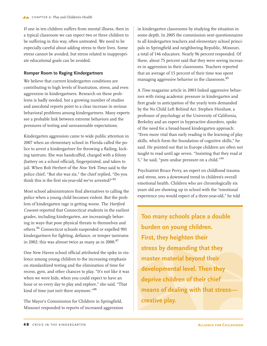If one in ten children suffers from mental illness, then in a typical classroom we can expect two or three children to be suffering in this way, often untreated. We need to be especially careful about adding stress to their lives. Some stress cannot be avoided, but stress related to inappropriate educational goals can be avoided.

## **Romper Room to Raging Kindergartners**

We believe that current kindergarten conditions are contributing to high levels of frustration, stress, and even aggression in kindergartners. Research on these problems is badly needed, but a growing number of studies and anecdotal reports point to a clear increase in serious behavioral problems among kindergartners. Many experts see a probable link between extreme behaviors and the pressures of testing and unreasonable expectations.

Kindergarten aggression came to wide public attention in 2007 when an elementary school in Florida called the police to arrest a kindergartner for throwing a flailing, kicking tantrum. She was handcuffed, charged with a felony (battery on a school official), fingerprinted, and taken to jail. When Bob Herbert of the *New York Times* said to the police chief, "But she was six," the chief replied, "Do you think this is the first six-year-old we've arrested?"<sup>85</sup>

Most school administrators find alternatives to calling the police when a young child becomes violent. But the problem of kindergarten rage is getting worse. The *Hartford Courant* reported that Connecticut students in the earliest grades, including kindergarten, are increasingly behaving in ways that pose physical threats to themselves and others. 86 Connecticut schools suspended or expelled 901 kindergartners for fighting, defiance, or temper tantrums in 2002; this was almost twice as many as in 2000. 87

One New Haven school official attributed the spike in violence among young children to the increasing emphasis on standardized testing and the elimination of time for recess, gym, and other chances to play. "It's not like it was when we were kids, when you could expect to have an hour or so every day to play and explore," she said. "That kind of time just isn't there anymore." 88

The Mayor's Commission for Children in Springfield, Missouri responded to reports of increased aggression

in kindergarten classrooms by studying the situation in some depth. In 2005 the commission sent questionnaires to all kindergarten teachers and elementary school principals in Springfield and neighboring Republic, Missouri, a total of 146 educators. Nearly 96 percent responded. Of these, about 75 percent said that they were seeing increases in aggression in their classrooms. Teachers reported that an average of 15 percent of their time was spent managing aggressive behavior in the classroom. 89

A *Time* magazine article in 2003 linked aggressive behaviors with rising academic pressure in kindergarten and first grade in anticipation of the yearly tests demanded by the No Child Left Behind Act. Stephen Hinshaw, a professor of psychology at the University of California, Berkeley and an expert in hyperactive disorders, spoke of the need for a broad-based kindergarten approach: "Even more vital than early reading is the learning of play skills, which form the foundation of cognitive skills," he said. He pointed out that in Europe children are often not taught to read until age seven. "Insisting that they read at 5," he said, "puts undue pressure on a child."<sup>90</sup>

Psychiatrist Bruce Perry, an expert on childhood trauma and stress, sees a downward trend in children's overall emotional health. Children who are chronologically six years old are showing up in school with the "emotional experience you would expect of a three-year-old," he told

**Too many schools place a double burden on young children. First, they heighten their stress by demanding that they master material beyond their developmental level. Then they deprive children of their chief means of dealing with that stress creative play.**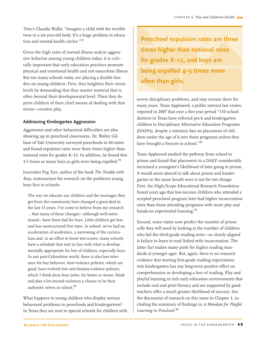*Time*'s Claudia Wallis. "Imagine a child with the terrible twos in a six-year-old body. It's a huge problem in education and mental-health circles."<sup>91</sup>

Given the high rates of mental illness and/or aggressive behavior among young children today, it is critically important that early education practices promote physical and emotional health and not exacerbate illness. But too many schools today are placing a double burden on young children: First, they heighten their stress levels by demanding that they master material that is often beyond their developmental level. Then they deprive children of their chief means of dealing with that stress—creative play.

### **Addressing Kindergarten Aggression**

Aggression and other behavioral difficulties are also showing up in preschool classrooms. Dr. Walter Gilliam of Yale University surveyed preschools in 40 states and found expulsion rates were three times higher than national rates for grades K–12. In addition, he found that 4.5 times as many boys as girls were being expelled.  $92$ 

Journalist Peg Tyre, author of the book *The Trouble with Boys*, summarizes the research on the problems young boys face in schools:

The way we educate our children and the messages they get from the community have changed a great deal in the last 15 years. I've come to believe from my research ... that many of these changes—although well-intentioned—have been bad for boys. Little children get less and less unstructured free time. In school, we've had an acceleration of academics, a narrowing of the curriculum and, in an effort to boost test scores, many schools have a schedule that isn't in line with what is developmentally appropriate for lots of children, especially boys. In our post-Columbine world, there is also less tolerance for boy behavior. Anti-violence policies, which are good, have evolved into anti-fantasy-violence policies, which I think deny boys (who, for better or worse, think and play a lot around violence) a chance to be their authentic selves in school.<sup>93</sup>

What happens to young children who display serious behavioral problems in preschools and kindergartens? In Texas they are sent to special schools for children with

**Preschool expulsion rates are three times higher than national rates for grades K–12, and boys are being expelled 4–5 times more often than girls.**

severe disciplinary problems, and may remain there for many years. Texas Appleseed, a public interest law center, reported in 2007 that over a five-year period "110 school districts in Texas have referred pre-k and kindergarten children to Disciplinary Alternative Education Programs (DAEPs), despite a statutory ban on placement of children under the age of 6 into these programs unless they have brought a firearm to school."<sup>94</sup>

Texas Appleseed studied the pathway from school to prison and found that placement in a DAEP considerably increased a youngster's likelihood of later going to prison. It would seem absurd to talk about prison and kindergarten in the same breath were it not for two things: First, the High/Scope Educational Research Foundation found years ago that low-income children who attended a scripted preschool program later had higher incarceration rates than those attending programs with more play and hands-on experiential learning.<sup>95</sup>

Second, some states now predict the number of prison cells they will need by looking at the number of children who fail the third-grade reading tests—so closely aligned is failure to learn to read linked with incarceration. The latter fact makes many push for higher reading standards at younger ages. But, again, there is no research evidence that moving first-grade reading expectations into kindergarten has any long-term positive effect on comprehension or developing a love of reading. Play and playful learning in rich early education environments that include oral and print literacy and are supported by good teachers offer a much greater likelihood of success. See the discussion of research on this issue in Chapter 1, including the summary of findings in *A Mandate for Playful Learning in Preschool*. 96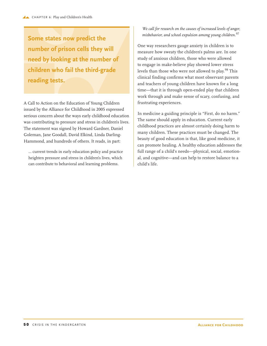**Some states now predict the number of prison cells they will need by looking at the number of children who fail the third-grade reading tests.**

A Call to Action on the Education of Young Children issued by the Alliance for Childhood in 2005 expressed serious concern about the ways early childhood education was contributing to pressure and stress in children's lives. The statement was signed by Howard Gardner, Daniel Goleman, Jane Goodall, David Elkind, Linda Darling-Hammond, and hundreds of others. It reads, in part:

... current trends in early education policy and practice heighten pressure and stress in children's lives, which can contribute to behavioral and learning problems.

*We call for research on the causes of increased levels of anger, misbehavior, and school expulsion among young children*. 97

One way researchers gauge anxiety in children is to measure how sweaty the children's palms are. In one study of anxious children, those who were allowed to engage in make-believe play showed lower stress levels than those who were not allowed to play. 98 This clinical finding confirms what most observant parents and teachers of young children have known for a long time—that it is through open-ended play that children work through and make sense of scary, confusing, and frustrating experiences.

In medicine a guiding principle is "First, do no harm." The same should apply in education. Current early childhood practices are almost certainly doing harm to many children. These practices must be changed. The beauty of good education is that, like good medicine, it can promote healing. A healthy education addresses the full range of a child's needs—physical, social, emotional, and cognitive—and can help to restore balance to a child's life.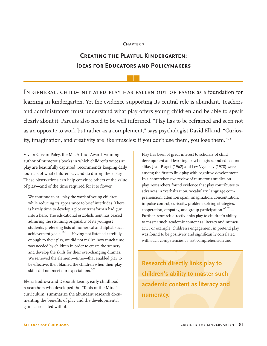#### CHAPTER<sub>7</sub>

# **Creating the Playful Kindergarten: Ideas for Educators and Policymakers**

*In general, child-initiated play has fallen out of favor* as a foundation for learning in kindergarten. Yet the evidence supporting its central role is abundant. Teachers and administrators must understand what play offers young children and be able to speak clearly about it. Parents also need to be well informed. "Play has to be reframed and seen not as an opposite to work but rather as a complement," says psychologist David Elkind. "Curiosity, imagination, and creativity are like muscles: if you don't use them, you lose them."<sup>99</sup>

Vivian Gussin Paley, the MacArthur Award–winning author of numerous books in which children's voices at play are beautifully captured, recommends keeping daily journals of what children say and do during their play. These observations can help convince others of the value of play—and of the time required for it to flower:

We continue to call play the work of young children while reducing its appearance to brief interludes. There is barely time to develop a plot or transform a bad guy into a hero. The educational establishment has ceased admiring the stunning originality of its youngest students, preferring lists of numerical and alphabetical achievement goals.<sup>100</sup> ... Having not listened carefully enough to their play, we did not realize how much time was needed by children in order to create the scenery and develop the skills for their ever-changing dramas. We removed the element—time—that enabled play to be effective, then blamed the children when their play skills did not meet our expectations.<sup>101</sup>

Elena Bodrova and Deborah Leong, early childhood researchers who developed the "Tools of the Mind" curriculum, summarize the abundant research documenting the benefits of play and the developmental gains associated with it:

Play has been of great interest to scholars of child development and learning, psychologists, and educators alike. Jean Piaget (1962) and Lev Vygotsky (1978) were among the first to link play with cognitive development. In a comprehensive review of numerous studies on play, researchers found evidence that play contributes to advances in "verbalization, vocabulary, language comprehension, attention span, imagination, concentration, impulse control, curiosity, problem-solving strategies, cooperation, empathy, and group participation." $102$  ... Further, research directly links play to children's ability to master such academic content as literacy and numeracy. For example, children's engagement in pretend play was found to be positively and significantly correlated with such competencies as text comprehension and

**Research directly links play to children's ability to master such academic content as literacy and numeracy.**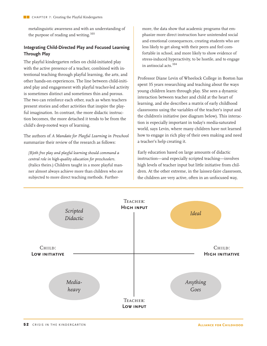metalinguistic awareness and with an understanding of the purpose of reading and writing.<sup>103</sup>

# **Integrating Child-Directed Play and Focused Learning Through Play**

The playful kindergarten relies on child-initiated play with the active presence of a teacher, combined with intentional teaching through playful learning, the arts, and other hands-on experiences. The line between child-initiated play and engagement with playful teacher-led activity is sometimes distinct and sometimes thin and porous. The two can reinforce each other, such as when teachers present stories and other activities that inspire the playful imagination. In contrast, the more didactic instruction becomes, the more detached it tends to be from the child's deep-rooted ways of learning.

The authors of *A Mandate for Playful Learning in Preschool* summarize their review of the research as follows:

*[B]oth free play and playful learning should command a central role in high-quality education for preschoolers.*  (Italics theirs.) Children taught in a more playful manner almost always achieve more than children who are subjected to more direct teaching methods. Furthermore, the data show that academic programs that emphasize more direct instruction have unintended social and emotional consequences, creating students who are less likely to get along with their peers and feel comfortable in school, and more likely to show evidence of stress-induced hyperactivity, to be hostile, and to engage in antisocial acts.<sup>104</sup>

Professor Diane Levin of Wheelock College in Boston has spent 35 years researching and teaching about the ways young children learn through play. She sees a dynamic interaction between teacher and child at the heart of learning, and she describes a matrix of early childhood classrooms using the variables of the teacher's input and the children's initiative (see diagram below). This interaction is especially important in today's media-saturated world, says Levin, where many children have not learned how to engage in rich play of their own making and need a teacher's help creating it.

Early education based on large amounts of didactic instruction—and especially scripted teaching—involves high levels of teacher input but little initiative from children. At the other extreme, in the laissez-faire classroom, the children are very active, often in an unfocused way,

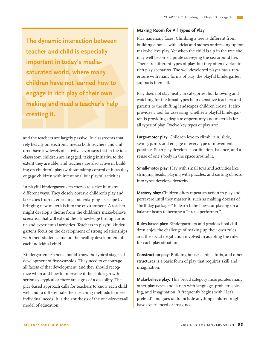**The dynamic interaction between teacher and child is especially important in today's mediasaturated world, where many children have not learned how to engage in rich play of their own making and need a teacher's help creating it.**

and the teachers are largely passive. In classrooms that rely heavily on electronic media both teachers and children have low levels of activity. Levin says that in the ideal classroom children are engaged, taking initiative to the extent they are able, and teachers are also active in building on children's play (without taking control of it) as they engage children with intentional but playful activities.

In playful kindergartens teachers are active in many different ways. They closely observe children's play and take cues from it, enriching and enlarging its scope by bringing new materials into the environment. A teacher might develop a theme from the children's make-believe scenarios that will extend their knowledge through artistic and experiential activities. Teachers in playful kindergartens focus on the development of strong relationships with their students, and on the healthy development of each individual child.

Kindergarten teachers should know the typical stages of development of five-year-olds. They need to encourage all facets of that development, and they should recognize when and how to intervene if the child's growth is seriously atypical or there are signs of a disability. The play-based approach calls for teachers to know each child well and to differentiate their teaching methods to meet individual needs. It is the antithesis of the one-size-fits-all model of education.

# **Making Room for All Types of Play**

Play has many faces. Climbing a tree is different from building a house with sticks and stones or dressing up for make-believe play. Yet when the child is up in the tree she may well become a pirate surveying the sea around her. There are different types of play, but they often overlap in rich play scenarios. The well-developed player has a repertoire with many forms of play; the playful kindergarten supports them all.

Play does not stay neatly in categories, but knowing and watching for the broad types helps sensitize teachers and parents to the shifting landscapes children create. It also provides a tool for assessing whether a playful kindergarten is providing adequate opportunity and materials for all types of play. Twelve key types of play are:

**Large-motor play:** Children love to climb, run, slide, swing, jump, and engage in every type of movement possible. Such play develops coordination, balance, and a sense of one's body in the space around it.

**Small-motor play:** Play with small toys and activities like stringing beads, playing with puzzles, and sorting objects into types develops dexterity.

**Mastery play:** Children often repeat an action in play and persevere until they master it, such as making dozens of "birthday packages" to learn to tie bows, or playing on a balance beam to become a "circus performer."

**Rules-based play:** Kindergartners and grade-school children enjoy the challenge of making up their own rules and the social negotiation involved in adapting the rules for each play situation.

**Construction play:** Building houses, ships, forts, and other structures is a basic form of play that requires skill and imagination.

**Make-believe play:** This broad category incorporates many other play types and is rich with language, problem-solving, and imagination. It frequently begins with "Let's pretend" and goes on to include anything children might have experienced or imagined.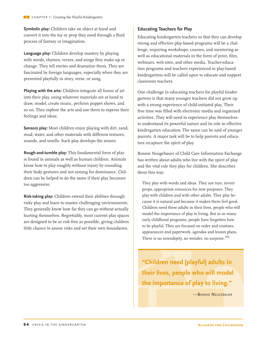**Symbolic play:** Children take an object at hand and convert it into the toy or prop they need through a fluid process of fantasy or imagination.

**Language play:** Children develop mastery by playing with words, rhymes, verses, and songs they make up or change. They tell stories and dramatize them. They are fascinated by foreign languages, especially when they are presented playfully in story, verse, or song.

**Playing with the arts:** Children integrate all forms of art into their play, using whatever materials are at hand to draw, model, create music, perform puppet shows, and so on. They explore the arts and use them to express their feelings and ideas.

**Sensory play:** Most children enjoy playing with dirt, sand, mud, water, and other materials with different textures, sounds, and smells. Such play develops the senses.

**Rough-and-tumble play:** This fundamental form of play is found in animals as well as human children. Animals know how to play roughly without injury by rounding their body gestures and not aiming for dominance. Children can be helped to do the same if their play becomes too aggressive.

**Risk-taking play:** Children extend their abilities through risky play and learn to master challenging environments. They generally know how far they can go without actually hurting themselves. Regrettably, most current play spaces are designed to be as risk-free as possible, giving children little chance to assess risks and set their own boundaries.

# **Educating Teachers for Play**

Educating kindergarten teachers so that they can develop strong and effective play-based programs will be a challenge, requiring workshops, courses, and mentoring as well as educational materials in the form of print, film, webinars, web sites, and other media. Teacher-education programs and teachers experienced in play-based kindergartens will be called upon to educate and support classroom teachers.

One challenge in educating teachers for playful kindergartens is that many younger teachers did not grow up with a strong experience of child-initiated play. Their free time was filled with electronic media and organized activities. They will need to experience play themselves to understand its powerful nature and its role in effective kindergarten education. The same can be said of younger parents. A major task will be to help parents and educators recapture the spirit of play.

Bonnie Neugebauer of Child Care Information Exchange has written about adults who live with the spirit of play and the vital role they play for children. She describes them this way:

They play with words and ideas. They use toys, invent props, appropriate resources for new purposes. They play with children and with other adults. They play because it is natural and because it makes them feel good. Children need these adults in their lives, people who will model the importance of play to living. But in so many early childhood programs, people have forgotten how to be playful. They are focused on order and routines, appearances and paperwork, agendas and lesson plans. There is no serendipity, no wonder, no surprise.<sup>105</sup>

**"Children need [playful] adults in their lives, people who will model the importance of play to living."**

**-BONNIE NEUGEBAUER**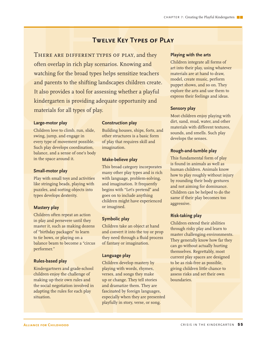# **Twelve Key Types of Play**

*There are different types of play*, and they often overlap in rich play scenarios. Knowing and watching for the broad types helps sensitize teachers and parents to the shifting landscapes children create. It also provides a tool for assessing whether a playful kindergarten is providing adequate opportunity and materials for all types of play.

#### **Large-motor play**

Children love to climb, run, slide, swing, jump, and engage in every type of movement possible. Such play develops coordination, balance, and a sense of one's body in the space around it.

#### **Small-motor play**

Play with small toys and activities like stringing beads, playing with puzzles, and sorting objects into types develops dexterity.

# **Mastery play**

Children often repeat an action in play and persevere until they master it, such as making dozens of "birthday packages" to learn to tie bows, or playing on a balance beam to become a "circus performer."

### **Rules-based play**

Kindergartners and grade-school children enjoy the challenge of making up their own rules and the social negotiation involved in adapting the rules for each play situation.

#### **Construction play**

Building houses, ships, forts, and other structures is a basic form of play that requires skill and imagination.

#### **Make-believe play**

This broad category incorporates many other play types and is rich with language, problem-solving, and imagination. It frequently begins with "Let's pretend" and goes on to include anything children might have experienced or imagined.

### **Symbolic play**

Children take an object at hand and convert it into the toy or prop they need through a fluid process of fantasy or imagination.

### **Language play**

Children develop mastery by playing with words, rhymes, verses, and songs they make up or change. They tell stories and dramatize them. They are fascinated by foreign languages, especially when they are presented playfully in story, verse, or song.

#### **Playing with the arts**

Children integrate all forms of art into their play, using whatever materials are at hand to draw, model, create music, perform puppet shows, and so on. They explore the arts and use them to express their feelings and ideas.

#### **Sensory play**

Most children enjoy playing with dirt, sand, mud, water, and other materials with different textures, sounds, and smells. Such play develops the senses.

## **Rough-and-tumble play**

This fundamental form of play is found in animals as well as human children. Animals know how to play roughly without injury by rounding their body gestures and not aiming for dominance. Children can be helped to do the same if their play becomes too aggressive.

### **Risk-taking play**

Children extend their abilities through risky play and learn to master challenging environments. They generally know how far they can go without actually hurting themselves. Regrettably, most current play spaces are designed to be as risk-free as possible, giving children little chance to assess risks and set their own boundaries.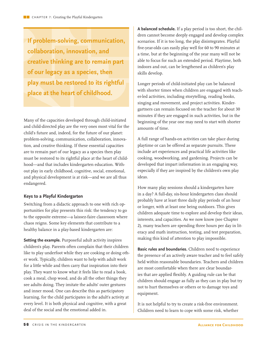**If problem-solving, communication, collaboration, innovation, and creative thinking are to remain part of our legacy as a species, then play must be restored to its rightful place at the heart of childhood.**

Many of the capacities developed through child-initiated and child-directed play are the very ones most vital for the child's future and, indeed, for the future of our planet: problem-solving, communication, collaboration, innovation, and creative thinking. If these essential capacities are to remain part of our legacy as a species then play must be restored to its rightful place at the heart of childhood—and that includes kindergarten education. Without play in early childhood, cognitive, social, emotional, and physical development is at risk—and we are all thus endangered.

### **Keys to a Playful Kindergarten**

Switching from a didactic approach to one with rich opportunities for play presents this risk: the tendency to go to the opposite extreme—a laissez-faire classroom where chaos reigns. Some key elements that contribute to a healthy balance in a play-based kindergarten are:

**Setting the example.** Purposeful adult activity inspires children's play. Parents often complain that their children like to play underfoot while they are cooking or doing other work. Typically, children want to help with adult work for a little while and then carry that inspiration into their play. They want to know what it feels like to read a book, cook a meal, chop wood, and do all the other things they see adults doing. They imitate the adults' outer gestures and inner mood. One can describe this as participatory learning, for the child participates in the adult's activity at every level. It is both physical and cognitive, with a great deal of the social and the emotional added in.

**A balanced schedule.** If a play period is too short, the children cannot become deeply engaged and develop complex scenarios. If it is too long, the play disintegrates. Playful five-year-olds can easily play well for 60 to 90 minutes at a time, but at the beginning of the year many will not be able to focus for such an extended period. Playtime, both indoors and out, can be lengthened as children's play skills develop.

Longer periods of child-initiated play can be balanced with shorter times when children are engaged with teacher-led activities, including storytelling, reading books, singing and movement, and project activities. Kindergartners can remain focused on the teacher for about 30 minutes if they are engaged in such activities, but in the beginning of the year one may need to start with shorter amounts of time.

A full range of hands-on activities can take place during playtime or can be offered as separate pursuits. These include art experiences and practical life activities like cooking, woodworking, and gardening. Projects can be developed that impart information in an engaging way, especially if they are inspired by the children's own play ideas.

How many play sessions should a kindergarten have in a day? A full-day, six-hour kindergarten class should probably have at least three daily play periods of an hour or longer, with at least one being outdoors. This gives children adequate time to explore and develop their ideas, interests, and capacities. As we now know (see Chapter 2), many teachers are spending three hours per day in literacy and math instruction, testing, and test preparation, making this kind of attention to play impossible.

**Basic rules and boundaries.** Children need to experience the presence of an actively aware teacher and to feel safely held within reasonable boundaries. Teachers and children are most comfortable when there are clear boundaries that are applied flexibly. A guiding rule can be that children should engage as fully as they can in play but try not to hurt themselves or others or to damage toys and equipment.

It is not helpful to try to create a risk-free environment. Children need to learn to cope with some risk, whether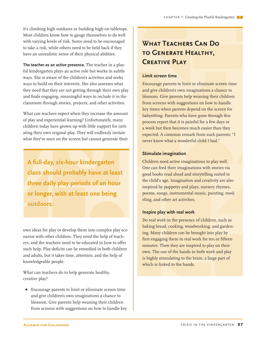it's climbing high outdoors or building high on tabletops. Most children know how to gauge themselves to do well with varying levels of risk. Some need to be encouraged to take a risk, while others need to be held back if they have an unrealistic sense of their physical abilities.

**The teacher as an active presence.** The teacher in a playful kindergarten plays an active role but works in subtle ways. She is aware of the children's activities and seeks ways to build on their interests. She also assesses what they need that they are not getting through their own play and finds engaging, meaningful ways to include it in the classroom through stories, projects, and other activities.

What can teachers expect when they increase the amount of play and experiential learning? Unfortunately, many children today have grown up with little support for initiating their own original play. They will endlessly imitate what they've seen on the screen but cannot generate their

**A full-day, six-hour kindergarten class should probably have at least three daily play periods of an hour or longer, with at least one being outdoors.**

own ideas for play or develop them into complex play scenarios with other children. They need the help of teachers, and the teachers need to be educated in how to offer such help. Play deficits can be remedied in both children and adults, but it takes time, attention, and the help of knowledgeable people.

What can teachers do to help generate healthy, creative play?

 • Encourage parents to limit or eliminate screen time and give children's own imaginations a chance to blossom. Give parents help weaning their children from screens with suggestions on how to handle key

# **What Teachers Can Do to Generate Healthy, Creative Play**

## **Limit screen time**

Encourage parents to limit or eliminate screen time and give children's own imaginations a chance to blossom. Give parents help weaning their children from screens with suggestions on how to handle key times when parents depend on the screen for babysitting. Parents who have gone through this process report that it is painful for a few days or a week but then becomes much easier than they expected. A common remark from such parents: "I never knew what a wonderful child I had."

## **Stimulate imagination**

Children need active imaginations to play well. One can feed their imaginations with stories via good books read aloud and storytelling suited to the child's age. Imagination and creativity are also inspired by puppetry and plays, nursery rhymes, poems, songs, instrumental music, painting, modeling, and other art activities.

# **Inspire play with real work**

Do real work in the presence of children, such as baking bread, cooking, woodworking, and gardening. Many children can be brought into play by first engaging them in real work for ten or fifteen minutes. Then they are inspired to play on their own. The use of the hands in both work and play is highly stimulating to the brain, a large part of which is linked to the hands.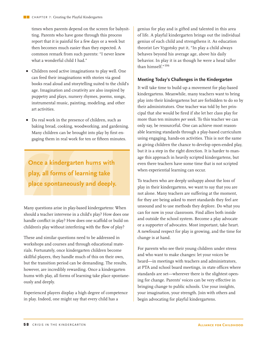times when parents depend on the screen for babysitting. Parents who have gone through this process report that it is painful for a few days or a week but then becomes much easier than they expected. A common remark from such parents: "I never knew what a wonderful child I had."

- Children need active imaginations to play well. One can feed their imaginations with stories via good books read aloud and storytelling suited to the child's age. Imagination and creativity are also inspired by puppetry and plays, nursery rhymes, poems, songs, instrumental music, painting, modeling, and other art activities.
- Do real work in the presence of children, such as baking bread, cooking, woodworking, and gardening. Many children can be brought into play by first engaging them in real work for ten or fifteen minutes.

**Once a kindergarten hums with play, all forms of learning take place spontaneously and deeply.**

Many questions arise in play-based kindergartens: When should a teacher intervene in a child's play? How does one handle conflict in play? How does one scaffold or build on children's play without interfering with the flow of play?

These and similar questions need to be addressed in workshops and courses and through educational materials. Fortunately, once kindergarten children become skillful players, they handle much of this on their own, but the transition period can be demanding. The results, however, are incredibly rewarding. Once a kindergarten hums with play, all forms of learning take place spontaneously and deeply.

Experienced players display a high degree of competence in play. Indeed, one might say that every child has a

genius for play and is gifted and talented in this area of life. A playful kindergarten brings out the individual genius of each child and strengthens it. As education theorist Lev Vygotsky put it, "In play a child always behaves beyond his average age, above his daily behavior. In play it is as though he were a head taller than himself."<sup>106</sup>

## **Meeting Today's Challenges in the Kindergarten**

It will take time to build up a movement for play-based kindergartens. Meanwhile, many teachers want to bring play into their kindergartens but are forbidden to do so by their administrators. One teacher was told by her principal that she would be fired if she let her class play for more than ten minutes *per week*. To this teacher we can only say, be resourceful. One can achieve most reasonable learning standards through a play-based curriculum using engaging, hands-on activities. This is not the same as giving children the chance to develop open-ended play, but it is a step in the right direction. It is harder to manage this approach in heavily scripted kindergartens, but even there teachers have some time that is not scripted when experiential learning can occur.

To teachers who are deeply unhappy about the loss of play in their kindergartens, we want to say that you are not alone. Many teachers are suffering at the moment, for they are being asked to meet standards they feel are unsound and to use methods they deplore. Do what you can for now in your classroom. Find allies both inside and outside the school system. Become a play advocate or a supporter of advocates. Most important, take heart. A newfound respect for play is growing, and the time for change is at hand.

For parents who see their young children under stress and who want to make changes: let your voices be heard—in meetings with teachers and administrators, at PTA and school board meetings, in state offices where standards are set—wherever there is the slightest opening for change. Parents' voices can be very effective in bringing change to public schools. Use your insights, your imagination, your strength. Join with others and begin advocating for playful kindergartens.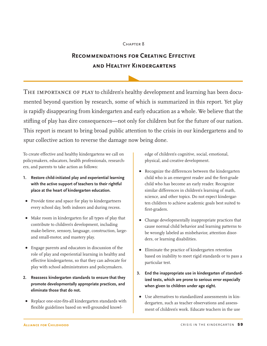## CHAPTER 8

# **Recommendations for Creating Effective and Healthy Kindergartens**

*The importance of play* to children's healthy development and learning has been documented beyond question by research, some of which is summarized in this report. Yet play is rapidly disappearing from kindergarten and early education as a whole. We believe that the stifling of play has dire consequences—not only for children but for the future of our nation. This report is meant to bring broad public attention to the crisis in our kindergartens and to spur collective action to reverse the damage now being done.

To create effective and healthy kindergartens we call on policymakers, educators, health professionals, researchers, and parents to take action as follows:

- **1. Restore child-initiated play and experiential learning with the active support of teachers to their rightful place at the heart of kindergarten education.**
- Provide time and space for play to kindergartners every school day, both indoors and during recess.
- Make room in kindergarten for all types of play that contribute to children's development, including make-believe, sensory, language, construction, largeand small-motor, and mastery play.
- Engage parents and educators in discussion of the role of play and experiential learning in healthy and effective kindergartens, so that they can advocate for play with school administrators and policymakers.
- **2. Reassess kindergarten standards to ensure that they promote developmentally appropriate practices, and eliminate those that do not.**
- Replace one-size-fits-all kindergarten standards with flexible guidelines based on well-grounded knowl-

edge of children's cognitive, social, emotional, physical, and creative development.

- Recognize the differences between the kindergarten child who is an emergent reader and the first-grade child who has become an early reader. Recognize similar differences in children's learning of math, science, and other topics. Do not expect kindergarten children to achieve academic goals best suited to first-graders.
- Change developmentally inappropriate practices that cause normal child behavior and learning patterns to be wrongly labeled as misbehavior, attention disorders, or learning disabilities.
- Eliminate the practice of kindergarten retention based on inability to meet rigid standards or to pass a particular test.
- **3. End the inappropriate use in kindergarten of standardized tests, which are prone to serious error especially when given to children under age eight.**
- Use alternatives to standardized assessments in kindergarten, such as teacher observations and assessment of children's work. Educate teachers in the use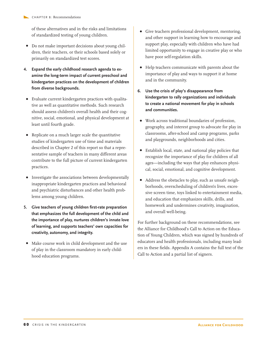of these alternatives and in the risks and limitations of standardized testing of young children.

- Do not make important decisions about young children, their teachers, or their schools based solely or primarily on standardized test scores.
- **4. Expand the early childhood research agenda to examine the long-term impact of current preschool and kindergarten practices on the development of children from diverse backgrounds.**
- Evaluate current kindergarten practices with qualitative as well as quantitative methods. Such research should assess children's overall health and their cognitive, social, emotional, and physical development at least until fourth grade.
- Replicate on a much larger scale the quantitative studies of kindergarten use of time and materials described in Chapter 2 of this report so that a representative sample of teachers in many different areas contribute to the full picture of current kindergarten practices.
- Investigate the associations between developmentally inappropriate kindergarten practices and behavioral and psychiatric disturbances and other health problems among young children.
- **5. Give teachers of young children first-rate preparation that emphasizes the full development of the child and the importance of play, nurtures children's innate love of learning, and supports teachers' own capacities for creativity, autonomy, and integrity.**
- Make course work in child development and the use of play in the classroom mandatory in early childhood education programs.
- Give teachers professional development, mentoring, and other support in learning how to encourage and support play, especially with children who have had limited opportunity to engage in creative play or who have poor self-regulation skills.
- Help teachers communicate with parents about the importance of play and ways to support it at home and in the community.
- **6. Use the crisis of play's disappearance from kindergarten to rally organizations and individuals to create a national movement for play in schools and communities.**
- Work across traditional boundaries of profession, geography, and interest group to advocate for play in classrooms, after-school and camp programs, parks and playgrounds, neighborhoods and cities.
- Establish local, state, and national play policies that recognize the importance of play for children of all ages—including the ways that play enhances physical, social, emotional, and cognitive development.
- Address the obstacles to play, such as unsafe neighborhoods, overscheduling of children's lives, excessive screen time, toys linked to entertainment media, and education that emphasizes skills, drills, and homework and undermines creativity, imagination, and overall well-being.

For further background on these recommendations, see the Alliance for Childhood's Call to Action on the Education of Young Children, which was signed by hundreds of educators and health professionals, including many leaders in these fields. Appendix A contains the full text of the Call to Action and a partial list of signers.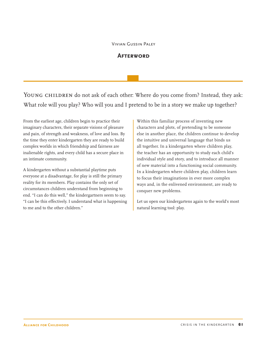Vivian Gussin Paley

# **Afterword**

*Young children* do not ask of each other: Where do you come from? Instead, they ask: What role will you play? Who will you and I pretend to be in a story we make up together?

From the earliest age, children begin to practice their imaginary characters, their separate visions of pleasure and pain, of strength and weakness, of love and loss. By the time they enter kindergarten they are ready to build complex worlds in which friendship and fairness are inalienable rights, and every child has a secure place in an intimate community.

A kindergarten without a substantial playtime puts everyone at a disadvantage, for play is still the primary reality for its members. Play contains the only set of circumstances children understand from beginning to end. "I can do this well," the kindergartners seem to say. "I can be this effectively. I understand what is happening to me and to the other children."

Within this familiar process of inventing new characters and plots, of pretending to be someone else in another place, the children continue to develop the intuitive and universal language that binds us all together. In a kindergarten where children play, the teacher has an opportunity to study each child's individual style and story, and to introduce all manner of new material into a functioning social community. In a kindergarten where children play, children learn to focus their imaginations in ever more complex ways and, in the enlivened environment, are ready to conquer new problems.

Let us open our kindergartens again to the world's most natural learning tool: play.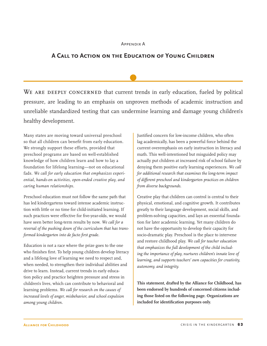#### Appendix A

# **A Call to Action on the Education of Young Children**

WE ARE DEEPLY CONCERNED that current trends in early education, fueled by political pressure, are leading to an emphasis on unproven methods of academic instruction and unreliable standardized testing that can undermine learning and damage young children's healthy development.

Many states are moving toward universal preschool so that all children can benefit from early education. We strongly support these efforts, provided that preschool programs are based on well-established knowledge of how children learn and how to lay a foundation for lifelong learning—not on educational fads. *We call for early education that emphasizes experiential, hands-on activities, open-ended creative play, and caring human relationships.*

Preschool education must not follow the same path that has led kindergartens toward intense academic instruction with little or no time for child-initiated learning. If such practices were effective for five-year-olds, we would have seen better long-term results by now. *We call for a reversal of the pushing down of the curriculum that has transformed kindergarten into de facto first grade.*

Education is not a race where the prize goes to the one who finishes first. To help young children develop literacy and a lifelong love of learning we need to respect and, when needed, to strengthen their individual abilities and drive to learn. Instead, current trends in early education policy and practice heighten pressure and stress in children's lives, which can contribute to behavioral and learning problems. *We call for research on the causes of increased levels of anger, misbehavior, and school expulsion among young children.*

Justified concern for low-income children, who often lag academically, has been a powerful force behind the current overemphasis on early instruction in literacy and math. This well-intentioned but misguided policy may actually put children at increased risk of school failure by denying them positive early learning experiences. *We call for additional research that examines the long-term impact of different preschool and kindergarten practices on children from diverse backgrounds.*

Creative play that children can control is central to their physical, emotional, and cognitive growth. It contributes greatly to their language development, social skills, and problem-solving capacities, and lays an essential foundation for later academic learning. Yet many children do not have the opportunity to develop their capacity for socio-dramatic play. Preschool is the place to intervene and restore childhood play. *We call for teacher education that emphasizes the full development of the child including the importance of play, nurtures children's innate love of learning, and supports teachers' own capacities for creativity, autonomy, and integrity.*

**This statement, drafted by the Alliance for Childhood, has been endorsed by hundreds of concerned citizens including those listed on the following page. Organizations are included for identification purposes only.**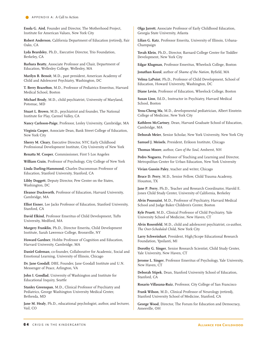**Enola G. Aird**, Founder and Director, The Motherhood Project, Institute for American Values, New York City

**Robert Anderson**, California Department of Education (retired), Fair Oaks, CA

**Lyda Beardsley**, Ph.D., Executive Director, Trio Foundation, Berkeley, CA

**Barbara Beatty**, Associate Professor and Chair, Department of Education, Wellesley College, Wellesley, MA

**Marilyn B. Benoit**, M.D., past president, American Academy of Child and Adolescent Psychiatry, Washington, DC

**T. Berry Brazelton**, M.D., Professor of Pediatrics Emeritus, Harvard Medical School, Boston

**Michael Brody**, M.D., child psychiatrist, University of Maryland, Potomac, MD

**Stuart L. Brown**, M.D., psychiatrist and founder, The National Institute for Play, Carmel Valley, CA

**Nancy Carlsson-Paige**, Professor, Lesley University, Cambridge, MA

**Virginia Casper**, Associate Dean, Bank Street College of Education, New York City

**Sherry M. Cleary**, Executive Director, NYC Early Childhood Professional Development Institute, City University of New York

**Renatta M. Cooper**, Commissioner, First 5 Los Angeles

**William Crain**, Professor of Psychology, City College of New York

**Linda Darling-Hammond**, Charles Ducommun Professor of Education, Stanford University, Stanford, CA

**Libby Doggett**, Deputy Director, Pew Center on the States, Washington, DC

**Eleanor Duckworth**, Professor of Education, Harvard University, Cambridge, MA

**Elliot Eisner**, Lee Jacks Professor of Education, Stanford University, Stanford, CA

**David Elkind**, Professor Emeritus of Child Development, Tufts University, Medford, MA

**Margery Franklin**, Ph.D., Director Emerita, Child Development Institute, Sarah Lawrence College, Bronxville, NY

**Howard Gardner**, Hobbs Professor of Cognition and Education, Harvard University, Cambridge, MA

**Daniel Goleman**, co-founder, Collaborative for Academic, Social and Emotional Learning, University of Illinois, Chicago

**Dr. Jane Goodall**, DBE, Founder, Jane Goodall Institute and U.N. Messenger of Peace, Arlington, VA

**John I. Goodlad**, University of Washington and Institute for Educational Inquiry, Seattle

**Stanley Greenspan**, M.D., Clinical Professor of Psychiatry and Pediatrics, George Washington University Medical Center, Bethesda, MD

**Jane M. Healy**, Ph.D., educational psychologist, author, and lecturer, Vail, CO

**Olga Jarrett**, Associate Professor of Early Childhood Education, Georgia State University, Atlanta

**Lilian G. Katz**, Professor Emerita, University of Illinois, Urbana-Champaign

**Tovah Klein**, Ph.D., Director, Barnard College Center for Toddler Development, New York City

**Edgar Klugman**, Professor Emeritus, Wheelock College, Boston

**Jonathan Kozol**, author of *Shame of the Nation*, Byfield, MA

**Velma LaPoint**, Ph.D., Professor of Child Development, School of Education, Howard University, Washington, DC

**Diane Levin**, Professor of Education, Wheelock College, Boston

**Susan Linn**, Ed.D., Instructor in Psychiatry, Harvard Medical School, Boston

**Yeou-Cheng Ma**, M.D., developmental pediatrician, Albert Einstein College of Medicine, New York City

**Kathleen McCartney**, Dean, Harvard Graduate School of Education, Cambridge, MA

**Deborah Meier**, Senior Scholar, New York University, New York City

**Samuel J. Meisels**, President, Erikson Institute, Chicago

**Thomas Moore**, author, *Care of the Soul*, Amherst, NH

**Pedro Noguera**, Professor of Teaching and Learning and Director, Metropolitan Center for Urban Education, New York University

**Vivian Gussin Paley**, teacher and writer, Chicago

**Bruce D. Perry**, M.D., Senior Fellow, Child Trauma Academy, Houston, TX

**Jane P. Perry**, Ph.D., Teacher and Research Coordinator, Harold E. Jones Child Study Center, University of California, Berkeley

**Alvin Poussaint**, M.D., Professor of Psychiatry, Harvard Medical School and Judge Baker Children's Center, Boston

**Kyle Pruett**, M.D., Clinical Professor of Child Psychiatry, Yale University School of Medicine, New Haven, CT

**Alvin Rosenfeld**, M.D., child and adolescent psychiatrist, co-author, *The Over-Scheduled Child*, New York City

**Larry Schweinhart**, President, High/Scope Educational Research Foundation, Ypsilanti, MI

**Dorothy G. Singer**, Senior Research Scientist, Child Study Center, Yale University, New Haven, CT

**Jerome L. Singer**, Professor Emeritus of Psychology, Yale University, New Haven, CT

**Deborah Stipek**, Dean, Stanford University School of Education, Stanford, CA

**Rosario Villasana-Ruiz**, Professor, City College of San Francisco

**Frank Wilson**, M.D., Clinical Professor of Neurology (retired), Stanford University School of Medicine, Stanford, CA

**George Wood**, Director, The Forum for Education and Democracy, Amesville, OH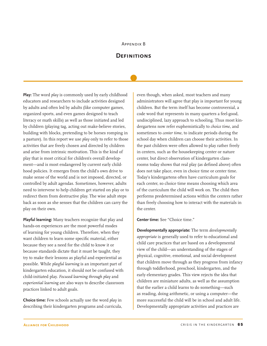# **DEFINITIONS**

**Play:** The word *play* is commonly used by early childhood educators and researchers to include activities designed by adults and often led by adults (like computer games, organized sports, and even games designed to teach literacy or math skills) as well as those initiated and led by children (playing tag, acting out make-believe stories, building with blocks, pretending to be horses romping in a pasture). In this report we use *play* only to refer to those activities that are freely chosen and directed by children and arise from intrinsic motivation. This is the kind of play that is most critical for children's overall development—and is most endangered by current early childhood policies. It emerges from the child's own drive to make sense of the world and is not imposed, directed, or controlled by adult agendas. Sometimes, however, adults need to intervene to help children get started on play or to redirect them from destructive play. The wise adult steps back as soon as she senses that the children can carry the play on their own.

**Playful learning:** Many teachers recognize that play and hands-on experiences are the most powerful modes of learning for young children. Therefore, when they want children to learn some specific material, either because they see a need for the child to know it or because standards dictate that it must be taught, they try to make their lessons as playful and experiential as possible. While *playful learning* is an important part of kindergarten education, it should not be confused with child-initiated play. *Focused learning through play* and *experiential learning* are also ways to describe classroom practices linked to adult goals.

**Choice time:** Few schools actually use the word *play* in describing their kindergarten programs and curricula,

even though, when asked, most teachers and many administrators will agree that play is important for young children. But the term itself has become controversial, a code word that represents in many quarters a feel-good, undisciplined, lazy approach to schooling. Thus most kindergartens now refer euphemistically to *choice time*, and sometimes to *center time*, to indicate periods during the school day when children can choose their activities. In the past children were often allowed to play rather freely in centers, such as the housekeeping center or nature center, but direct observation of kindergarten classrooms today shows that real play (as defined above) often does not take place, even in choice time or center time. Today's kindergartens often have curriculum goals for each center, so choice time means choosing which area of the curriculum the child will work on. The child then performs predetermined actions within the centers rather than freely choosing how to interact with the materials in the center.

**Center time:** See "Choice time."

**Developmentally appropriate:** The term *developmentally appropriate* is generally used to refer to educational and child care practices that are based on a developmental view of the child—an understanding of the stages of physical, cognitive, emotional, and social development that children move through as they progress from infancy through toddlerhood, preschool, kindergarten, and the early elementary grades. This view rejects the idea that children are miniature adults, as well as the assumption that the earlier a child learns to do something—such as reading, doing arithmetic, or using a computer—the more successful the child will be in school and adult life. Developmentally appropriate activities and practices are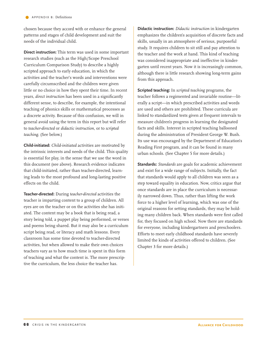chosen because they accord with or enhance the general patterns and stages of child development and suit the needs of the individual child.

**Direct instruction:** This term was used in some important research studies (such as the High/Scope Preschool Curriculum Comparison Study) to describe a highly scripted approach to early education, in which the activities and the teacher's words and interventions were carefully circumscribed and the children were given little or no choice in how they spent their time. In recent years, *direct instruction* has been used in a significantly different sense, to describe, for example, the intentional teaching of phonics skills or mathematical processes as a discrete activity. Because of this confusion, we will in general avoid using the term in this report but will refer to *teacher-directed* or *didactic instruction*, or to *scripted teaching*. (See below.)

**Child-initiated:** *Child-initiated* activities are motivated by the intrinsic interests and needs of the child. This quality is essential for play, in the sense that we use the word in this document (see above). Research evidence indicates that child-initiated, rather than teacher-directed, learning leads to the most profound and long-lasting positive effects on the child.

**Teacher-directed:** During *teacher-directed* activities the teacher is imparting content to a group of children. All eyes are on the teacher or on the activities she has initiated. The content may be a book that is being read, a story being told, a puppet play being performed, or verses and poems being shared. But it may also be a curriculum script being read, or literacy and math lessons. Every classroom has some time devoted to teacher-directed activities, but when allowed to make their own choices teachers vary as to how much time is spent in this form of teaching and what the content is. The more prescriptive the curriculum, the less choice the teacher has.

**Didactic instruction:** *Didactic instruction* in kindergarten emphasizes the children's acquisition of discrete facts and skills, usually in an atmosphere of serious, purposeful study. It requires children to sit still and pay attention to the teacher and the work at hand. This kind of teaching was considered inappropriate and ineffective in kindergarten until recent years. Now it is increasingly common, although there is little research showing long-term gains from this approach.

**Scripted teaching:** In *scripted teaching* programs, the teacher follows a regimented and invariable routine—literally a script—in which prescribed activities and words are used and others are prohibited. These curricula are linked to standardized tests given at frequent intervals to measure children's progress in learning the designated facts and skills. Interest in scripted teaching ballooned during the administration of President George W. Bush. Its use was encouraged by the Department of Education's Reading First program, and it can be found in many urban schools. (See Chapter 5 for more details.)

**Standards:** *Standards* are goals for academic achievement and exist for a wide range of subjects. Initially, the fact that standards would apply to all children was seen as a step toward equality in education. Now, critics argue that once standards are in place the curriculum is necessarily narrowed down. Thus, rather than lifting the work force to a higher level of learning, which was one of the original reasons for setting standards, they may be holding many children back. When standards were first called for, they focused on high school. Now there are standards for everyone, including kindergartners and preschoolers. Efforts to meet early childhood standards have severely limited the kinds of activities offered to children. (See Chapter 3 for more details.)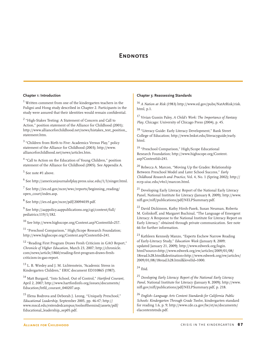# **ENDNOTES**

#### **Chapter 1: Introduction**

<sup>1</sup> Written comment from one of the kindergarten teachers in the Fuligni and Hong study described in Chapter 2. Participants in the study were assured that their identities would remain confidential.

<sup>2</sup> "High-Stakes Testing: A Statement of Concern and Call to Action," position statement of the Alliance for Childhood (2001); http://www.allianceforchildhood.net/news/histakes\_test\_position\_ statement.htm.

<sup>3</sup> "Children from Birth to Five: Academics Versus Play," policy statement of the Alliance for Childhood (2003); http://www. allianceforchildhood.net/news/articles.htm.

<sup>4</sup> "Call to Action on the Education of Young Children," position statement of the Alliance for Childhood (2005). See Appendix A.

5 See note #1 above.

6 See http://americanjournalofplay.press.uiuc.edu/1/3/singer.html.

7 See http://ies.ed.gov/ncee/wwc/reports/beginning\_reading/ open\_court/index.asp.

8 See http://ies.ed.gov/ncee/pdf/20094039.pdf.

9 See http://aappolicy.aappublications.org/cgi/content/full/ pediatrics;119/1/182.

10 See http://www.highscope.org/Content.asp?ContentId=257.

11 "Preschool Comparison," High/Scope Research Foundation; http://www.highscope.org/Content.asp?ContentId=241.

<sup>12</sup> "Reading First Program Draws Fresh Criticism in GAO Report," *Chronicle of Higher Education*, March 23, 2007; http://chronicle. com/news/article/1860/reading-first-program-draws-freshcriticism-in-gao-report.

13 L. B. Wiedey and J. M. Lichtenstein, "Academic Stress in Kindergarten Children," ERIC document ED310865 (1987).

14 Matt Burgard, "Into School, Out of Control," *Hartford Courant*, April 2, 2007; http://www.hartfordinfo.org/issues/documents/ Education/htfd\_courant\_040207.asp.

<sup>15</sup> Elena Bodrova and Deborah J. Leong, "Uniquely Preschool," *Educational Leadership*, September 2005, pp. 46-47; http:// www.mscd.edu/extendedcampus/toolsofthemind/assets/pdf/ Educational\_leadership\_sep05.pdf.

#### **Chapter 3: Reassessing Standards**

<sup>16</sup> *A Nation at Risk* (1983) http://www.ed.gov/pubs/NatAtRisk/risk. html, p.1.

17 Vivian Gussin Paley, *A Child's Work: The Importance of Fantasy Play*, Chicago: University of Chicago Press (2004), p. 45.

18 "Literacy Guide: Early Literacy Development," Bank Street College of Education; http://www.bnkst.edu/literacyguide/early. html.

19 "Preschool Comparison," High/Scope Educational Research Foundation; http://www.highscope.org/Content. asp?ContentId=241.

20 Rebecca A. Marcon, "Moving Up the Grades: Relationship Between Preschool Model and Later School Success," *Early Childhood Research and Practice*, Vol. 4, No. 1 (Spring 2002); http:// ecrp.uiuc.edu/v4n1/marcon.html.

<sup>21</sup> Developing Early Literacy: Report of the National Early Literacy Panel, National Institute for Literacy (January 8, 2009); http://www. nifl.gov/nifl/publications/pdf/NELPSummary.pdf.

22 David Dickinson, Kathy Hirsh-Pasek, Susan Neuman, Roberta M. Golinkoff, and Margaret Buchinal, "The Language of Emergent Literacy: A Response to the National Institute for Literacy Report on Early Literacy," obtained through private communication. See note 66 for further information.

23 Kathleen Kennedy Manzo, "Experts Eschew Narrow Reading of Early-Literacy Study," *Education Week* (January 8, 2009; updated January 21, 2009); http://www.edweek.org/login. html?source=http://www.edweek.org/ew/articles/2009/01/08/ 18read.h28.html&destination=http://www.edweek.org/ew/articles/ 2009/01/08/18read.h28.html&levelId=1000.

24 Ibid.

<sup>25</sup> *Developing Early Literacy: Report of the National Early Literacy Panel*, National Institute for Literacy (January 8, 2009); http://www. nifl.gov/nifl/publications/pdf/NELPSummary.pdf, p. 218.

<sup>26</sup> *English–Language Arts Content Standards for California Public Schools: Kindergarten Through Grade Twelve*, kindergarten standard for reading 1.6, p. 9; http://www.cde.ca.gov/be/st/ss/documents/ elacontentstnds.pdf.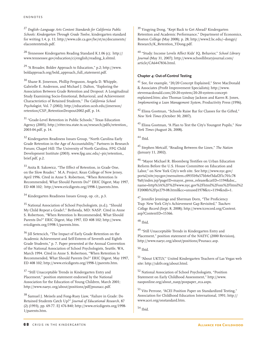<sup>27</sup> *English–Language Arts Content Standards for California Public Schools: Kindergarten Through Grade Twelve*, kindergarten standard for writing 1.4, p. 11; http://www.cde.ca.gov/be/st/ss/documents/ elacontentstnds.pdf.

28 Tennessee Kindergarten Reading Standard K.1.06 (c); http:// www.tennessee.gov/education/ci/english/reading\_k.shtml.

29 "A Broader, Bolder Approach to Education," p.2; http://www. boldapproach.org/bold\_approach\_full\_statement.pdf.

30 Shane R. Jimerson, Phillip Ferguson, Angela D. Whipple, Gabrielle E. Anderson, and Michael J. Dalton, "Exploring the Association Between Grade Retention and Dropout: A Longitudinal Study Examining Socio-Emotional, Behavioral, and Achievement Characteristics of Retained Students," *The California School Psychologist*, Vol. 7 (2002); http://education.ucsb.edu/jimerson/ retention/CSP\_RetentionDropout2002.pdf, p. 14.

31 "Grade-Level Retention in Public Schools," Texas Education Agency (2005); http://ritter.tea.state.tx.us/research/pdfs/retention\_ 2003-04.pdf, p. 14.

32 Kindergarten Readiness Issues Group, "North Carolina Early Grade Retention in the Age of Accountability," Partners in Research Forum; Chapel Hill: The University of North Carolina, FPG Child Development Institute (2003). www.fpg.unc.edu/~pir/retention\_ brief.pdf, p.2.

33 Anita B. Sakowicz, "The Effect of Retention, in Grade One, on the Slow Reader," M.A. Project, Kean College of New Jersey, April 1996. Cited in Anne S. Robertson, "When Retention Is Recommended, What Should Parents Do?" ERIC Digest, May 1997, ED 408 102; http://www.ericdigests.org/1998-1/parents.htm.

34 Kindergarten Readiness Issues Group, op. cit., p.3.

35 National Association of School Psychologists, (n.d.). "Should My Child Repeat a Grade?," Bethesda, MD: NASP. Cited in Anne S. Robertson, "When Retention Is Recommended, What Should Parents Do?" ERIC Digest, May 1997, ED 408 102; http://www. ericdigests.org/1998-1/parents.htm.

<sup>36</sup> Jill Setencich, "The Impact of Early Grade Retention on the Academic Achievement and Self-Esteem of Seventh and Eighth Grade Students," p. 7. Paper presented at the Annual Convention of the National Association of School Psychologists, Seattle, WA, March 1994. Cited in Anne S. Robertson, "When Retention Is Recommended, What Should Parents Do?" ERIC Digest, May 1997, ED 408 102; http://www.ericdigests.org/1998-1/parents.htm.

<sup>37</sup> "Still Unacceptable Trends in Kindergarten Entry and Placement," position statement endorsed by the National Association for the Education of Young Children, March 2001; http://www.naeyc.org/about/positions/pdf/psunacc.pdf.

38 Samuel J. Meisels and Fong-Ruey Liaw, "Failure in Grade: Do Retained Students Catch Up?" *Journal of Educational Research*, 87 (2) (1993), pp. 69-77. EJ 476 840; http://www.ericdigests.org/1998- 1/parents.htm.

<sup>39</sup> Yingying Dong, "Kept Back to Get Ahead? Kindergarten Retention and Academic Performance," Department of Economics, Boston College (May 2008); p. 28; http://www2.bc.edu/~dongyi/ Research/K\_Retention\_YDong.pdf.

40 "Study: Income Levels Affect Kids' IQ, Behavior," *School Library Journal* (May 31, 2007); http://www.schoollibraryjournal.com/ article/CA6447836.html.

#### **Chapter 4: Out-of-Control Testing**

41 See, for example, "20/20 Concept Explained," Steve MacDonald & Associates (Profit Improvement Specialists); http://www. stevemacdonald.com/20-20-system/20-20-system-conceptexplained.htm; also Thomas Lindsay Jackson and Karen R. Jones, *Implementing a Lean Management System*, Productivity Press (1996).

42 Elissa Gootman, "Schools Raise Bar for Classes for the Gifted," *New York Times* (October 30, 2007).

43 Elissa Gootman, "A Plan to Test the City's Youngest Pupils," *New York Times* (August 26, 2008).

44 Ibid.

45 Stephen Metcalf, "Reading Between the Lines," *The Nation*  (January 11, 2002).

46 "Mayor Michael R. Bloomberg Testifies on Urban Education Reform Before the U.S. House Committee on Education and Labor," on New York City's web site. See http://www.nyc.gov/ portal/site/nycgov/menuitem.c0935b9a57bb4ef3daf2f1c701c78 9a0/index.jsp?pageID=mayor\_press\_release&catID=1194&doc\_ name=http%3A%2F%2Fwww.nyc.gov%2Fhtml%2Fom%2Fhtml%2 F2008b%2Fpr279-08.html&cc=unused1978&rc=1194&ndi=1.

47 Jennifer Jennings and Sherman Dorn, "The Proficiency Trap: New York City's Achievement Gap Revisited," *Teachers College Record* (Sept. 8, 2008); http://www.tcrecord.org/Content. asp?ContentID=15366.

48 Ibid.

49 "Still Unacceptable Trends in Kindergarten Entry and Placement," position statement of the NAEYC (2000 Revision), http://www.naeyc.org/about/positions/Psunacc.asp.

50 Ibid.

51 "About UKTLV," United Kindergarten Teachers of Las Vegas web site: http://uktlv.org/about.html.

52 National Association of School Psychologists, "Position Statement on Early Childhood Assessment," http://www. nasponline.org/about\_nasp/pospaper\_eca.aspx.

53 Vito Perrone, "ACEI Position Paper on Standardized Testing," Association for Childhood Education International, 1991; http:// www.acei.org/onstandard.htm.

54 Ibid.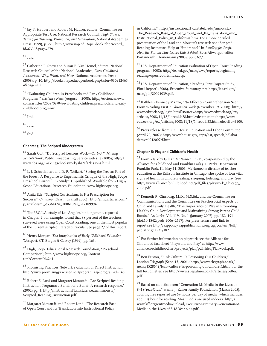55 Jay P. Heubert and Robert M. Hauser, editors; Committee on Appropriate Test Use, National Research Council, *High Stakes: Testing for Tracking, Promotion, and Graduation*, National Academies Press (1999), p. 279; http://www.nap.edu/openbook.php?record\_ id=6336&page=279.

56 Ibid.

57 Catherine E. Snow and Susan B. Van Hemel, editors, National Research Council of the National Academies, *Early Childhood Assessment: Why, What, and How*, National Academies Press (2008), p. 10; http://books.nap.edu/openbook.php?isbn=030912465 4&page=10.

58 "Evaluating Children in Preschools and Early Childhood Programs," *e!Science News* (August 4, 2008); http://esciencenews. com/articles/2008/08/04/evaluating.children.preschools.and.early. childhood.programs.

59 Ibid.

60 Ibid.

 $61$  Ibid.

#### **Chapter 5: The Scripted Kindergarten**

62 Sarah Colt, "Do Scripted Lessons Work—Or Not?" *Making Schools Work*, Public Broadcasting Service web site (2005); http:// www.pbs.org/makingschoolswork/sbs/sfa/lessons.html.

63 L. J. Schweinhart and D. P. Weikart, "Seeing the Tree as Part of the Forest: A Response to Engelmann's Critique of the High/Scope Preschool Curriculum Study." Unpublished. Available from High/ Scope Educational Research Foundation: www.highscope.org.

64 Anita Ede, "Scripted Curriculum: Is It a Prescription for Success?" *Childhood Education* (Fall 2006); http://findarticles.com/ p/articles/mi\_qa3614/is\_200610/ai\_n17189994.

65 The U.C.L.A. study of Los Angeles kindergartens, reported in Chapter 2, for example, found that 88 percent of the teachers surveyed were using Open Court Reading, one of the most popular of the current scripted literacy curricula. See page 27 of this report.

66 Henry Morgan, *The Imagination of Early Childhood Education*, Westport, CT: Bergin & Garvey (1999); pg. 163.

67 High/Scope Educational Research Foundation, "Preschool Comparison"; http://www.highscope.org/Content. asp?ContentId=241.

68 Promising Practices Network evaluation of Direct Instruction; http://www.promisingpractices.net/program.asp?programid=146.

69 Robert E. Land and Margaret Moustafa, "Are Scripted Reading Instruction Programs a Benefit or a Bane?: A research response," (2002) pg. 1; http://instructional1.calstatela.edu/mmousta/ Scripted\_Reading\_Instruction.pdf.

70 Margaret Moustafa and Robert Land, "The Research Base of Open Court and Its Translation into Instructional Policy

in California"; http://instructional1.calstatela.edu/mmousta/ The\_Research\_Base\_of\_Open\_Court\_and\_Its\_Translation\_into\_ Instructional\_Policy\_in\_California.htm. For a more detailed presentation of the Land and Moustafa research see "Scripted Reading Response: Help or Hindrance?" in *Reading for Profit: How the Bottom Line Leaves Kids Behind*, Bess Altwerger, editor; Portsmouth: Heinemann (2005); pp. 63-77.

71 U.S. Department of Education evaluation of Open Court Reading program (2008); http://ies.ed.gov/ncee/wwc/reports/beginning\_ reading/open\_court/index.asp.

72 U.S. Department of Education, "Reading First Impact Study, Final Report" (2008), Executive Summary, p.v; http://ies.ed.gov/ ncee/pdf/20094039.pdf.

73 Kathleen Kennedy Manzo, "No Effect on Comprehension Seen From 'Reading First'," *Education Week* (November 19, 2008); http:// www.edweek.org/login.html?source=http://www.edweek.org/ew/ articles/2008/11/18/14read.h28.html&destination=http://www. edweek.org/ew/articles/2008/11/18/14read.h28.html&levelId=2100.

74 Press release from U.S. House Education and Labor Committee (April 20, 2007); http://www.house.gov/apps/list/speech/edlabor\_ dem/rel042007rf.html.

#### **Chapter 6: Play and Children's Health**

75 From a talk by Gillian McNamee, Ph.D., co-sponsored by the Alliance for Childhood and Franklin Park (IL) Parks Department. Franklin Park, IL, May 11, 2006. McNamee is director of teacher education at the Erikson Institute in Chicago; she spoke of four vital signs of health in children: eating, sleeping, toileting, and play. See http://www.allianceforchildhood.net/pdf\_files/playwork\_Chicago\_ 2006.pdf.

76 Kenneth R. Ginsburg, M.D., M.S.Ed., and the Committee on Communications and the Committee on Psychosocial Aspects of Child and Family Health, "The Importance of Play in Promoting Healthy Child Development and Maintaining Strong Parent-Child Bonds," *Pediatrics*, Vol. 119, No. 1 (January 2007), pp. 182–191 (doi:10.1542/peds.2006–2697). For press release and link to report see http://aappolicy.aappublications.org/cgi/content/full/ pediatrics;119/1/182.

77 For further information on playwork see the Alliance for Childhood fact sheet "Playwork and Play" at http://www. allianceforchildhood.net/projects/play/pdf\_files/Playwork.pdf.

78 Ben Fenton, "Junk Culture 'Is Poisoning Our Children'," London *Telegraph* (Sept. 13, 2006); http://www.telegraph.co.uk/ news/1528642/Junk-culture-'is-poisoning-our-children'.html; for the full text of letter, see http://www.suepalmer.co.uk/articles/Letter. pdf.

79 Based on statistics from "Generation M: Media in the Lives of 8–18-Year-Olds," Henry J. Kaiser Family Foundation (March 2005). Total figures reported are 6+ hours per day of media, which includes about ¾ hour for reading. Most media are used indoors. http:// www.kff.org/entmedia/upload/Executive-Summary-Generation-M-Media-in-the-Lives-of-8-18-Year-olds.pdf.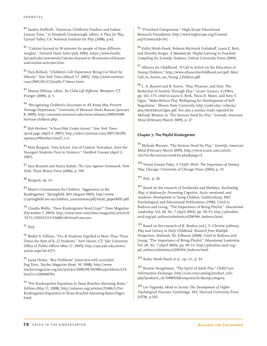80 Sandra Hofferth, "American Children's Outdoor and Indoor Leisure Time," in Elizabeth Goodenough, editor, *A Place for Play*, Carmel Valley, CA: National Institute for Play (2008), p.42.

81 "Calories burned in 30 minutes for people of three different weights," *Harvard Heart Letter* (July 2004), https://www.health. harvard.edu/newsweek/Calories-burned-in-30-minutes-of-leisureand-routine-activities.htm.

82 Pam Belluck, "Children's Life Expectancy Being Cut Short by Obesity," *New York Times* (March 17, 2005); http://www.nytimes. com/2005/03/17/health/17obese.html.

83 Sharna Olfman, editor, *No Child Left Different*, Westport, CT: Praeger (2006), p. 1.

84 "Recognizing Children's Successes in All Areas May Prevent Teenage Depression," University of Missouri News Bureau (January 8, 2009); http://munews.missouri.edu/news-releases/2009/0108 herman-children.php.

85 Bob Herbert, "6-Year-Olds Under Arrest," *New York Times* op-ed page (April 9, 2007); http://select.nytimes.com/2007/04/09/ opinion/09herbert.html?\_r=1.

86 Matt Burgard, "Into School, Out of Control: Nowadays, Even the Youngest Students Turn to Violence," *Hartford Courant* (April 2, 2007).

87 Sara Bennett and Nancy Kalish, *The Case Against Homework*, New York: Three Rivers Press (2006), p. 109.

88 Burgard, op. cit.

89 Mayor's Commission for Children, "Aggression in the Kindergarten," Springfield, MO (August 2005); http://www. ci.springfield.mo.us/children\_commission/pdf/white\_paper8505.pdf.

90 Claudia Wallis, "Does Kindergarten Need Cops?" Time Magazine (December 7, 2003); http://www.time.com/time/magazine/article/0 ,9171,1101031215-556865,00.html?cnn=yes.

 $^{91}$  Ibid.

92 Walter S. Gilliam, "Pre–K Students Expelled at More Than Three Times the Rate of K–12 Students," New Haven, CT: Yale University Office of Public Affairs (May 17, 2005); http://opa.yale.edu/news/ article.aspx?id=4271.

93 Liana Heitin, "Boy Problems" (interview with journalist Peg Tyre), *Teacher Magazine* (Sept. 30, 2008); http://www. teachermagazine.org/tm/articles/2008/09/30/08boyproblems.h19. html?r=1209400783.

94 "Pre-Kindergarten Expulsion in Texas Reaches Alarming Rates," *EdNews* (May 11, 2008); http://ednews.org/articles/25486/1/Pre-Kindergarten-Expulsion-in-Texas-Reaches-Alarming-Rates/Page1. html.

95 "Preschool Comparison," High/Scope Educational Research Foundation; http://www.highscope.org/Content. asp?ContentId=241.

96 Kathy Hirsh-Pasek, Roberta Michnick Golinkoff, Laura E. Berk, and Dorothy Singer, *A Mandate for Playful Learning in Preschool: Compiling the Scientific Evidence*, Oxford University Press (2009).

97 Alliance for Childhood, "A Call to Action on the Education of Young Children," http://www.allianceforchildhood.net/pdf\_files/ Call\_to\_Action\_on\_Young\_Children.pdf.

98 L. A. Barnett and B. Storm, "Play, Pleasure, and Pain: The Reduction of Anxiety Through Play," *Leisure Sciences*, 4 (1981), pp. 161–175; cited in Laura E. Berk, Tricia D. Mann, and Amy T. Ogan, "Make-Believe Play: Wellspring for Development of Self-Regulation," Illinois State University, http://udel.edu/~roberta/ play/BerkMannOgan.pdf. See also a similar study reported by Melinda Wenner in "The Serious Need for Play," *Scientific American Mind* (February/March 2009), p. 27.

#### **Chapter 7: The Playful Kindergarten**

99 Melinda Wenner, "The Serious Need for Play," *Scientific American Mind* (February-March 2009); http://www.sciam.com/article. cfm?id=the-serious-need-for-play&page=5.

100 Vivian Gussin Paley, *A Child's Work: The Importance of Fantasy Play*, Chicago: University of Chicago Press (2004), p. 33.

101 Ibid., p. 46.

102 Based on the research of Smilansky and Shefatya, *Facilitating Play: A Medium for Promoting Cognitive, Socio- emotional, and Academic Development in Young Children*, Gaithersburg, MD: Psychological and Educational Publications (1990). Cited in Bodrova and Leong, "The Importance of Being Playful," *Educational Leadership*, Vol. 60, No. 7 (April 2003), pp. 50–53; http://pdonline. ascd.org/pd\_online/substitute/el200304\_bodrova.html.

103 Based on the research of K. Roskos and J. F. Christie (editors), *Play and Literacy in Early Childhood: Research from Multiple Perspectives*, Mahwah, NJ: Erlbaum (2000). Cited in Bodrova and Leong, "The Importance of Being Playful," *Educational Leadership*, Vol. 60, No. 7 (April 2003), pp. 50–53; http://pdonline.ascd.org/ pd\_online/substitute/el200304\_bodrova.html.

104 Kathy Hirsh-Pasek et al., op. cit., p. 54.

105 Bonnie Neugebauer, "The Spirit of Adult Play," Child Care Information Exchange, http://ccie.com/catalog/product\_info. php?products\_id=5008926&search=&category.

106 Lev Vygotsky, *Mind in Society: The Development of Higher Psychological Processes*, Cambridge, MA: Harvard University Press (1978), p.102.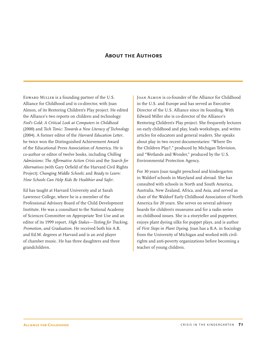# **About the Authors**

*Edward Miller* is a founding partner of the U.S. Alliance for Childhood and is co-director, with Joan Almon, of its Restoring Children's Play project. He edited the Alliance's two reports on children and technology: *Fool's Gold: A Critical Look at Computers in Childhood* (2000) and *Tech Tonic: Towards a New Literacy of Technology* (2004). A former editor of the *Harvard Education Letter*, he twice won the Distinguished Achievement Award of the Educational Press Association of America. He is co-author or editor of twelve books, including *Chilling Admissions: The Affirmative Action Crisis* and the *Search for Alternatives* (with Gary Orfield of the Harvard Civil Rights Project); *Changing Middle Schools*; and *Ready to Learn: How Schools Can Help Kids Be Healthier and Safer*.

Ed has taught at Harvard University and at Sarah Lawrence College, where he is a member of the Professional Advisory Board of the Child Development Institute. He was a consultant to the National Academy of Sciences Committee on Appropriate Test Use and an editor of its 1999 report, *High Stakes—Testing for Tracking, Promotion, and Graduation*. He received both his A.B. and Ed.M. degrees at Harvard and is an avid player of chamber music. He has three daughters and three grandchildren.

*Joan Almon* is co-founder of the Alliance for Childhood in the U.S. and Europe and has served as Executive Director of the U.S. Alliance since its founding. With Edward Miller she is co-director of the Alliance's Restoring Children's Play project. She frequently lectures on early childhood and play, leads workshops, and writes articles for educators and general readers. She speaks about play in two recent documentaries: "Where Do the Children Play?," produced by Michigan Television, and "Wetlands and Wonder," produced by the U.S. Environmental Protection Agency.

For 30 years Joan taught preschool and kindergarten in Waldorf schools in Maryland and abroad. She has consulted with schools in North and South America, Australia, New Zealand, Africa, and Asia, and served as chair of the Waldorf Early Childhood Association of North America for 20 years. She serves on several advisory boards for children's museums and for a radio series on childhood issues. She is a storyteller and puppeteer, enjoys plant dyeing silks for puppet plays, and is author of *First Steps in Plant Dyeing*. Joan has a B.A. in Sociology from the University of Michigan and worked with civilrights and anti-poverty organizations before becoming a teacher of young children.